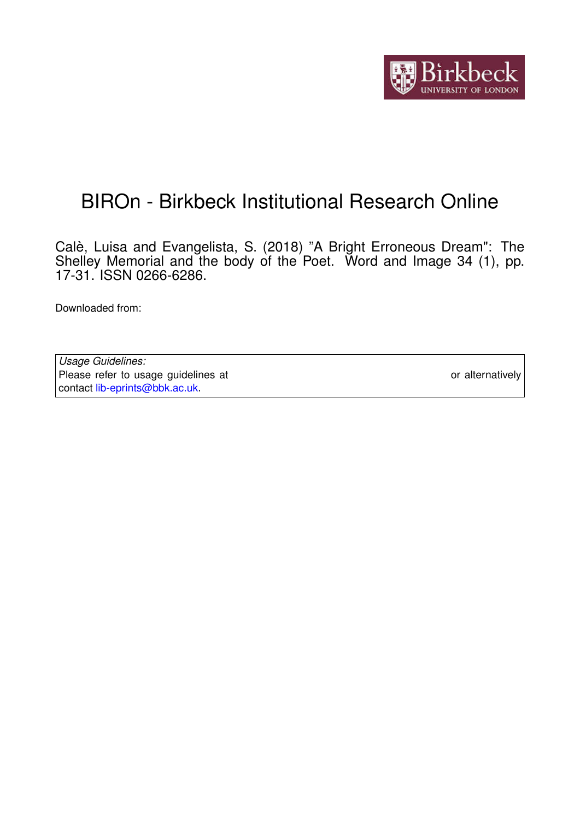

# BIROn - Birkbeck Institutional Research Online

Calè, Luisa and Evangelista, S. (2018) "A Bright Erroneous Dream": The Shelley Memorial and the body of the Poet. Word and Image 34 (1), pp. 17-31. ISSN 0266-6286.

Downloaded from: <https://eprints.bbk.ac.uk/id/eprint/21042/>

*Usage Guidelines:* Please refer to usage guidelines at <https://eprints.bbk.ac.uk/policies.html> or alternatively contact [lib-eprints@bbk.ac.uk.](mailto:lib-eprints@bbk.ac.uk)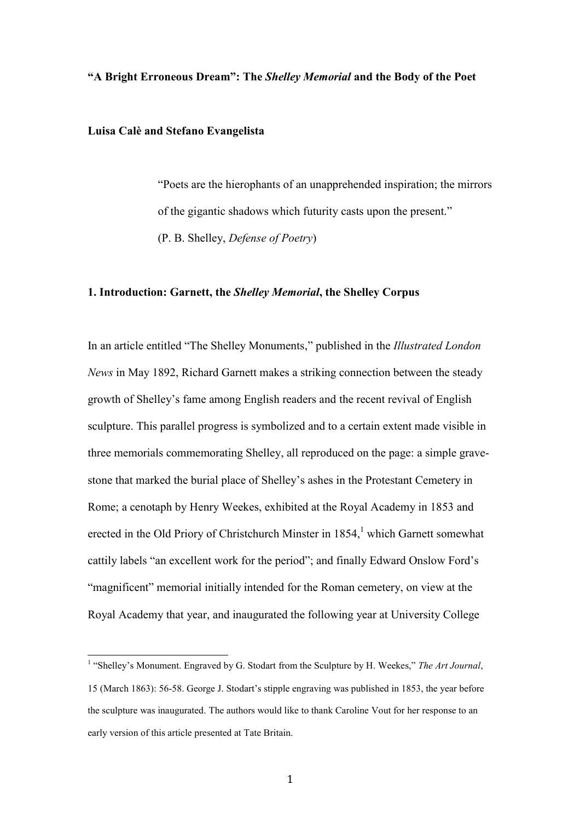#### **"A Bright Erroneous Dream": The** *Shelley Memorial* **and the Body of the Poet**

#### **Luisa Calè and Stefano Evangelista**

 $\overline{a}$ 

"Poets are the hierophants of an unapprehended inspiration; the mirrors of the gigantic shadows which futurity casts upon the present." (P. B. Shelley, *Defense of Poetry*)

# **1. Introduction: Garnett, the** *Shelley Memorial***, the Shelley Corpus**

In an article entitled "The Shelley Monuments," published in the *Illustrated London News* in May 1892, Richard Garnett makes a striking connection between the steady growth of Shelley's fame among English readers and the recent revival of English sculpture. This parallel progress is symbolized and to a certain extent made visible in three memorials commemorating Shelley, all reproduced on the page: a simple gravestone that marked the burial place of Shelley's ashes in the Protestant Cemetery in Rome; a cenotaph by Henry Weekes, exhibited at the Royal Academy in 1853 and erected in the Old Priory of Christchurch Minster in 1854, <sup>1</sup> which Garnett somewhat cattily labels "an excellent work for the period"; and finally Edward Onslow Ford's "magnificent" memorial initially intended for the Roman cemetery, on view at the Royal Academy that year, and inaugurated the following year at University College

<sup>&</sup>lt;sup>1</sup> "Shelley's Monument. Engraved by G. Stodart from the Sculpture by H. Weekes," The Art Journal, 15 (March 1863): 56-58. George J. Stodart's stipple engraving was published in 1853, the year before the sculpture was inaugurated. The authors would like to thank Caroline Vout for her response to an early version of this article presented at Tate Britain.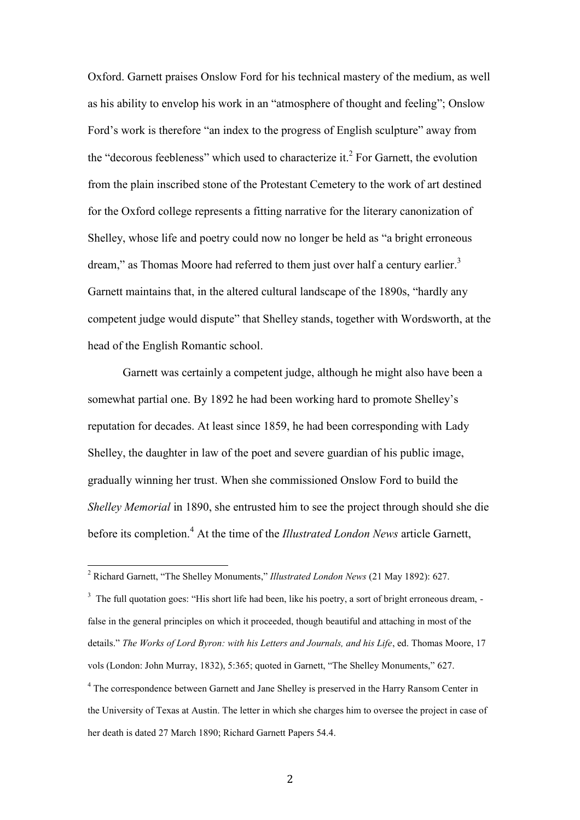Oxford. Garnett praises Onslow Ford for his technical mastery of the medium, as well as his ability to envelop his work in an "atmosphere of thought and feeling"; Onslow Ford's work is therefore "an index to the progress of English sculpture" away from the "decorous feebleness" which used to characterize it.<sup>2</sup> For Garnett, the evolution from the plain inscribed stone of the Protestant Cemetery to the work of art destined for the Oxford college represents a fitting narrative for the literary canonization of Shelley, whose life and poetry could now no longer be held as "a bright erroneous dream," as Thomas Moore had referred to them just over half a century earlier.<sup>3</sup> Garnett maintains that, in the altered cultural landscape of the 1890s, "hardly any competent judge would dispute" that Shelley stands, together with Wordsworth, at the head of the English Romantic school.

Garnett was certainly a competent judge, although he might also have been a somewhat partial one. By 1892 he had been working hard to promote Shelley's reputation for decades. At least since 1859, he had been corresponding with Lady Shelley, the daughter in law of the poet and severe guardian of his public image, gradually winning her trust. When she commissioned Onslow Ford to build the *Shelley Memorial* in 1890, she entrusted him to see the project through should she die before its completion.<sup>4</sup> At the time of the *Illustrated London News* article Garnett,

<sup>2</sup> Richard Garnett, "The Shelley Monuments," *Illustrated London News* (21 May 1892): 627.

<sup>&</sup>lt;sup>3</sup> The full quotation goes: "His short life had been, like his poetry, a sort of bright erroneous dream, false in the general principles on which it proceeded, though beautiful and attaching in most of the details." *The Works of Lord Byron: with his Letters and Journals, and his Life*, ed. Thomas Moore, 17 vols (London: John Murray, 1832), 5:365; quoted in Garnett, "The Shelley Monuments," 627. <sup>4</sup> The correspondence between Garnett and Jane Shelley is preserved in the Harry Ransom Center in the University of Texas at Austin. The letter in which she charges him to oversee the project in case of her death is dated 27 March 1890; Richard Garnett Papers 54.4.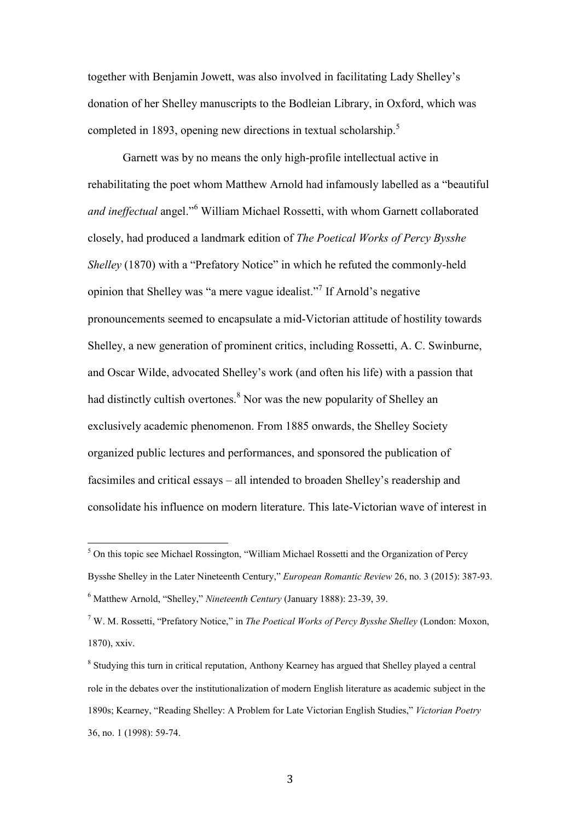together with Benjamin Jowett, was also involved in facilitating Lady Shelley's donation of her Shelley manuscripts to the Bodleian Library, in Oxford, which was completed in 1893, opening new directions in textual scholarship.<sup>5</sup>

Garnett was by no means the only high-profile intellectual active in rehabilitating the poet whom Matthew Arnold had infamously labelled as a "beautiful *and ineffectual* angel." <sup>6</sup> William Michael Rossetti, with whom Garnett collaborated closely, had produced a landmark edition of *The Poetical Works of Percy Bysshe Shelley* (1870) with a "Prefatory Notice" in which he refuted the commonly-held opinion that Shelley was "a mere vague idealist."<sup>7</sup> If Arnold's negative pronouncements seemed to encapsulate a mid-Victorian attitude of hostility towards Shelley, a new generation of prominent critics, including Rossetti, A. C. Swinburne, and Oscar Wilde, advocated Shelley's work (and often his life) with a passion that had distinctly cultish overtones.<sup>8</sup> Nor was the new popularity of Shelley an exclusively academic phenomenon. From 1885 onwards, the Shelley Society organized public lectures and performances, and sponsored the publication of facsimiles and critical essays – all intended to broaden Shelley's readership and consolidate his influence on modern literature. This late-Victorian wave of interest in

<sup>&</sup>lt;sup>5</sup> On this topic see Michael Rossington, "William Michael Rossetti and the Organization of Percy Bysshe Shelley in the Later Nineteenth Century," *European Romantic Review* 26, no. 3 (2015): 387-93. <sup>6</sup> Matthew Arnold, "Shelley," *Nineteenth Century* (January 1888): 23-39, 39.

<sup>7</sup> W. M. Rossetti, "Prefatory Notice," in *The Poetical Works of Percy Bysshe Shelley* (London: Moxon, 1870), xxiv.

<sup>&</sup>lt;sup>8</sup> Studying this turn in critical reputation, Anthony Kearney has argued that Shelley played a central role in the debates over the institutionalization of modern English literature as academic subject in the 1890s; Kearney, "Reading Shelley: A Problem for Late Victorian English Studies," *Victorian Poetry* 36, no. 1 (1998): 59-74.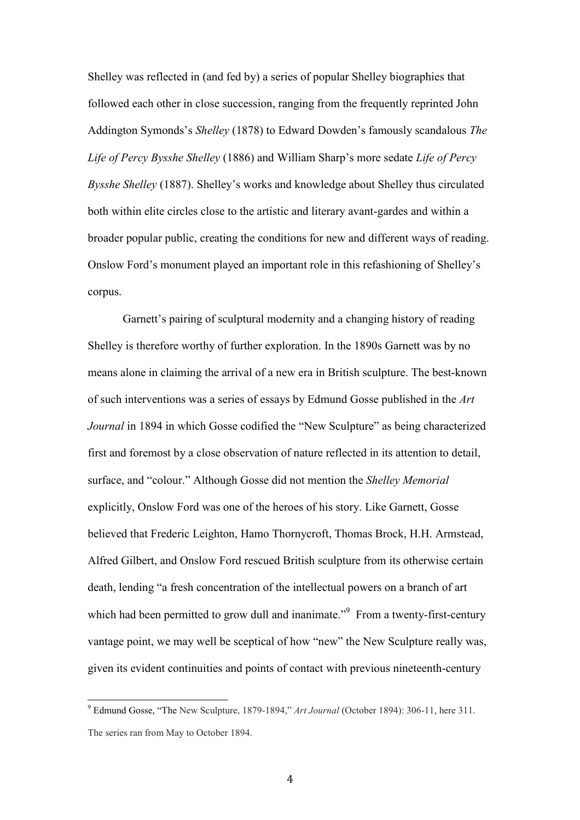Shelley was reflected in (and fed by) a series of popular Shelley biographies that followed each other in close succession, ranging from the frequently reprinted John Addington Symonds's *Shelley* (1878) to Edward Dowden's famously scandalous *The Life of Percy Bysshe Shelley* (1886) and William Sharp's more sedate *Life of Percy Bysshe Shelley* (1887). Shelley's works and knowledge about Shelley thus circulated both within elite circles close to the artistic and literary avant-gardes and within a broader popular public, creating the conditions for new and different ways of reading. Onslow Ford's monument played an important role in this refashioning of Shelley's corpus.

Garnett's pairing of sculptural modernity and a changing history of reading Shelley is therefore worthy of further exploration. In the 1890s Garnett was by no means alone in claiming the arrival of a new era in British sculpture. The best-known of such interventions was a series of essays by Edmund Gosse published in the *Art Journal* in 1894 in which Gosse codified the "New Sculpture" as being characterized first and foremost by a close observation of nature reflected in its attention to detail, surface, and "colour." Although Gosse did not mention the *Shelley Memorial* explicitly, Onslow Ford was one of the heroes of his story. Like Garnett, Gosse believed that Frederic Leighton, Hamo Thornycroft, Thomas Brock, H.H. Armstead, Alfred Gilbert, and Onslow Ford rescued British sculpture from its otherwise certain death, lending "a fresh concentration of the intellectual powers on a branch of art which had been permitted to grow dull and inanimate."<sup>9</sup> From a twenty-first-century vantage point, we may well be sceptical of how "new" the New Sculpture really was, given its evident continuities and points of contact with previous nineteenth-century

<sup>9</sup> Edmund Gosse, "The New Sculpture, 1879-1894," *Art Journal* (October 1894): 306-11, here 311. The series ran from May to October 1894.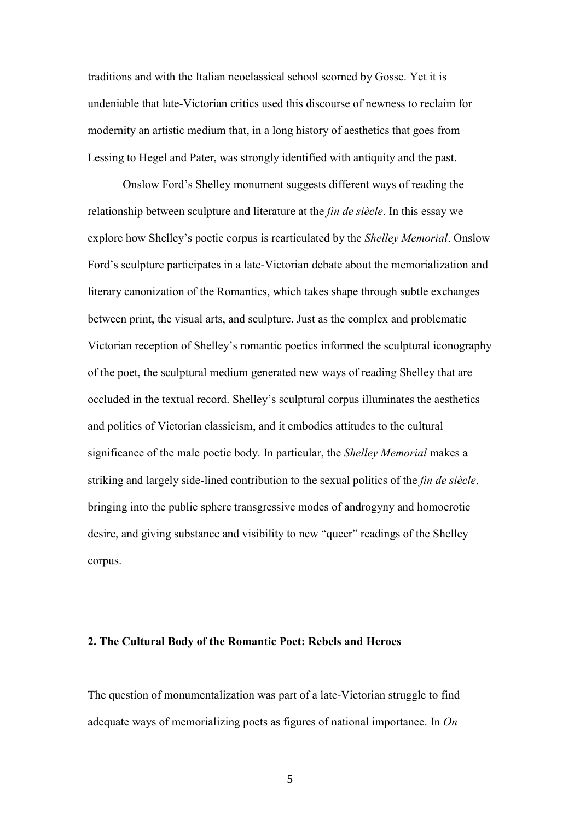traditions and with the Italian neoclassical school scorned by Gosse. Yet it is undeniable that late-Victorian critics used this discourse of newness to reclaim for modernity an artistic medium that, in a long history of aesthetics that goes from Lessing to Hegel and Pater, was strongly identified with antiquity and the past.

Onslow Ford's Shelley monument suggests different ways of reading the relationship between sculpture and literature at the *fin de siècle*. In this essay we explore how Shelley's poetic corpus is rearticulated by the *Shelley Memorial*. Onslow Ford's sculpture participates in a late-Victorian debate about the memorialization and literary canonization of the Romantics, which takes shape through subtle exchanges between print, the visual arts, and sculpture. Just as the complex and problematic Victorian reception of Shelley's romantic poetics informed the sculptural iconography of the poet, the sculptural medium generated new ways of reading Shelley that are occluded in the textual record. Shelley's sculptural corpus illuminates the aesthetics and politics of Victorian classicism, and it embodies attitudes to the cultural significance of the male poetic body. In particular, the *Shelley Memorial* makes a striking and largely side-lined contribution to the sexual politics of the *fin de siècle*, bringing into the public sphere transgressive modes of androgyny and homoerotic desire, and giving substance and visibility to new "queer" readings of the Shelley corpus.

#### **2. The Cultural Body of the Romantic Poet: Rebels and Heroes**

The question of monumentalization was part of a late-Victorian struggle to find adequate ways of memorializing poets as figures of national importance. In *On*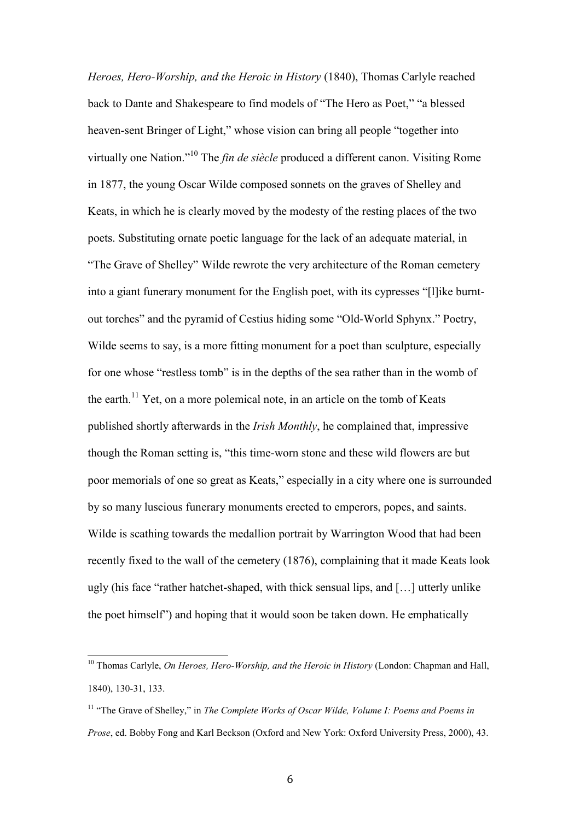*Heroes, Hero-Worship, and the Heroic in History* (1840), Thomas Carlyle reached back to Dante and Shakespeare to find models of "The Hero as Poet," "a blessed heaven-sent Bringer of Light," whose vision can bring all people "together into virtually one Nation." <sup>10</sup> The *fin de siècle* produced a different canon. Visiting Rome in 1877, the young Oscar Wilde composed sonnets on the graves of Shelley and Keats, in which he is clearly moved by the modesty of the resting places of the two poets. Substituting ornate poetic language for the lack of an adequate material, in "The Grave of Shelley" Wilde rewrote the very architecture of the Roman cemetery into a giant funerary monument for the English poet, with its cypresses "[l]ike burntout torches" and the pyramid of Cestius hiding some "Old-World Sphynx." Poetry, Wilde seems to say, is a more fitting monument for a poet than sculpture, especially for one whose "restless tomb" is in the depths of the sea rather than in the womb of the earth.<sup>11</sup> Yet, on a more polemical note, in an article on the tomb of Keats published shortly afterwards in the *Irish Monthly*, he complained that, impressive though the Roman setting is, "this time-worn stone and these wild flowers are but poor memorials of one so great as Keats," especially in a city where one is surrounded by so many luscious funerary monuments erected to emperors, popes, and saints. Wilde is scathing towards the medallion portrait by Warrington Wood that had been recently fixed to the wall of the cemetery (1876), complaining that it made Keats look ugly (his face "rather hatchet-shaped, with thick sensual lips, and […] utterly unlike the poet himself") and hoping that it would soon be taken down. He emphatically

<sup>10</sup> Thomas Carlyle, *On Heroes, Hero-Worship, and the Heroic in History* (London: Chapman and Hall, 1840), 130-31, 133.

<sup>&</sup>lt;sup>11</sup> "The Grave of Shelley," in *The Complete Works of Oscar Wilde, Volume I: Poems and Poems in Prose*, ed. Bobby Fong and Karl Beckson (Oxford and New York: Oxford University Press, 2000), 43.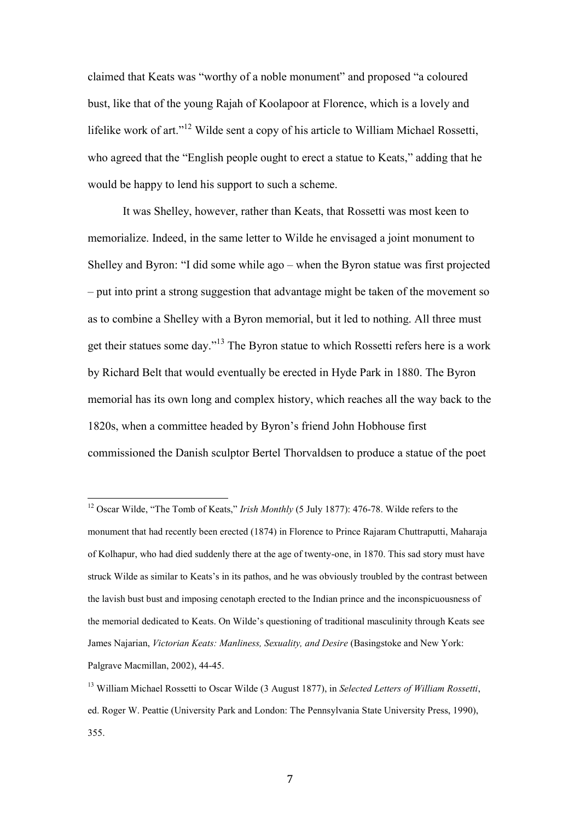claimed that Keats was "worthy of a noble monument" and proposed "a coloured bust, like that of the young Rajah of Koolapoor at Florence, which is a lovely and lifelike work of art."<sup>12</sup> Wilde sent a copy of his article to William Michael Rossetti, who agreed that the "English people ought to erect a statue to Keats," adding that he would be happy to lend his support to such a scheme.

It was Shelley, however, rather than Keats, that Rossetti was most keen to memorialize. Indeed, in the same letter to Wilde he envisaged a joint monument to Shelley and Byron: "I did some while ago – when the Byron statue was first projected – put into print a strong suggestion that advantage might be taken of the movement so as to combine a Shelley with a Byron memorial, but it led to nothing. All three must get their statues some day."<sup>13</sup> The Byron statue to which Rossetti refers here is a work by Richard Belt that would eventually be erected in Hyde Park in 1880. The Byron memorial has its own long and complex history, which reaches all the way back to the 1820s, when a committee headed by Byron's friend John Hobhouse first commissioned the Danish sculptor Bertel Thorvaldsen to produce a statue of the poet

<sup>&</sup>lt;sup>12</sup> Oscar Wilde, "The Tomb of Keats," *Irish Monthly* (5 July 1877): 476-78. Wilde refers to the monument that had recently been erected (1874) in Florence to Prince Rajaram Chuttraputti, Maharaja of Kolhapur, who had died suddenly there at the age of twenty-one, in 1870. This sad story must have struck Wilde as similar to Keats's in its pathos, and he was obviously troubled by the contrast between the lavish bust bust and imposing cenotaph erected to the Indian prince and the inconspicuousness of the memorial dedicated to Keats. On Wilde's questioning of traditional masculinity through Keats see James Najarian, *Victorian Keats: Manliness, Sexuality, and Desire* (Basingstoke and New York: Palgrave Macmillan, 2002), 44-45.

<sup>13</sup> William Michael Rossetti to Oscar Wilde (3 August 1877), in *Selected Letters of William Rossetti*, ed. Roger W. Peattie (University Park and London: The Pennsylvania State University Press, 1990), 355.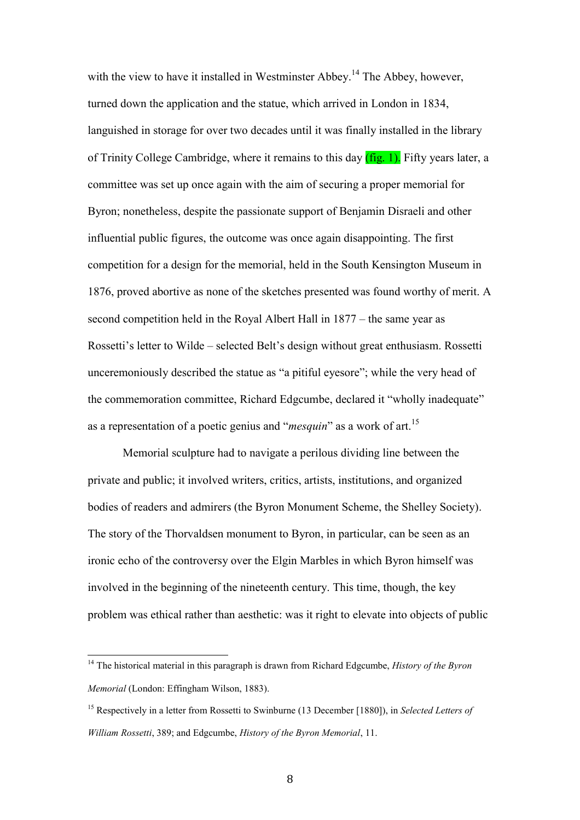with the view to have it installed in Westminster Abbey.<sup>14</sup> The Abbey, however, turned down the application and the statue, which arrived in London in 1834, languished in storage for over two decades until it was finally installed in the library of Trinity College Cambridge, where it remains to this day (fig. 1). Fifty years later, a committee was set up once again with the aim of securing a proper memorial for Byron; nonetheless, despite the passionate support of Benjamin Disraeli and other influential public figures, the outcome was once again disappointing. The first competition for a design for the memorial, held in the South Kensington Museum in 1876, proved abortive as none of the sketches presented was found worthy of merit. A second competition held in the Royal Albert Hall in 1877 – the same year as Rossetti's letter to Wilde – selected Belt's design without great enthusiasm. Rossetti unceremoniously described the statue as "a pitiful eyesore"; while the very head of the commemoration committee, Richard Edgcumbe, declared it "wholly inadequate" as a representation of a poetic genius and "*mesquin*" as a work of art.<sup>15</sup>

Memorial sculpture had to navigate a perilous dividing line between the private and public; it involved writers, critics, artists, institutions, and organized bodies of readers and admirers (the Byron Monument Scheme, the Shelley Society). The story of the Thorvaldsen monument to Byron, in particular, can be seen as an ironic echo of the controversy over the Elgin Marbles in which Byron himself was involved in the beginning of the nineteenth century. This time, though, the key problem was ethical rather than aesthetic: was it right to elevate into objects of public

<sup>14</sup> The historical material in this paragraph is drawn from Richard Edgcumbe, *History of the Byron Memorial* (London: Effingham Wilson, 1883).

<sup>15</sup> Respectively in a letter from Rossetti to Swinburne (13 December [1880]), in *Selected Letters of William Rossetti*, 389; and Edgcumbe, *History of the Byron Memorial*, 11.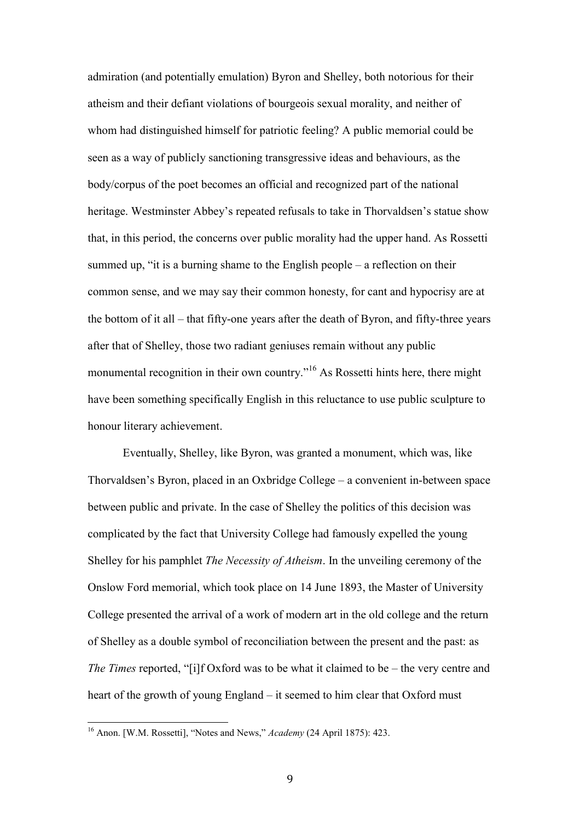admiration (and potentially emulation) Byron and Shelley, both notorious for their atheism and their defiant violations of bourgeois sexual morality, and neither of whom had distinguished himself for patriotic feeling? A public memorial could be seen as a way of publicly sanctioning transgressive ideas and behaviours, as the body/corpus of the poet becomes an official and recognized part of the national heritage. Westminster Abbey's repeated refusals to take in Thorvaldsen's statue show that, in this period, the concerns over public morality had the upper hand. As Rossetti summed up, "it is a burning shame to the English people – a reflection on their common sense, and we may say their common honesty, for cant and hypocrisy are at the bottom of it all – that fifty-one years after the death of Byron, and fifty-three years after that of Shelley, those two radiant geniuses remain without any public monumental recognition in their own country."<sup>16</sup> As Rossetti hints here, there might have been something specifically English in this reluctance to use public sculpture to honour literary achievement.

Eventually, Shelley, like Byron, was granted a monument, which was, like Thorvaldsen's Byron, placed in an Oxbridge College – a convenient in-between space between public and private. In the case of Shelley the politics of this decision was complicated by the fact that University College had famously expelled the young Shelley for his pamphlet *The Necessity of Atheism*. In the unveiling ceremony of the Onslow Ford memorial, which took place on 14 June 1893, the Master of University College presented the arrival of a work of modern art in the old college and the return of Shelley as a double symbol of reconciliation between the present and the past: as *The Times* reported, "[i]f Oxford was to be what it claimed to be – the very centre and heart of the growth of young England – it seemed to him clear that Oxford must

<sup>16</sup> Anon. [W.M. Rossetti], "Notes and News," *Academy* (24 April 1875): 423.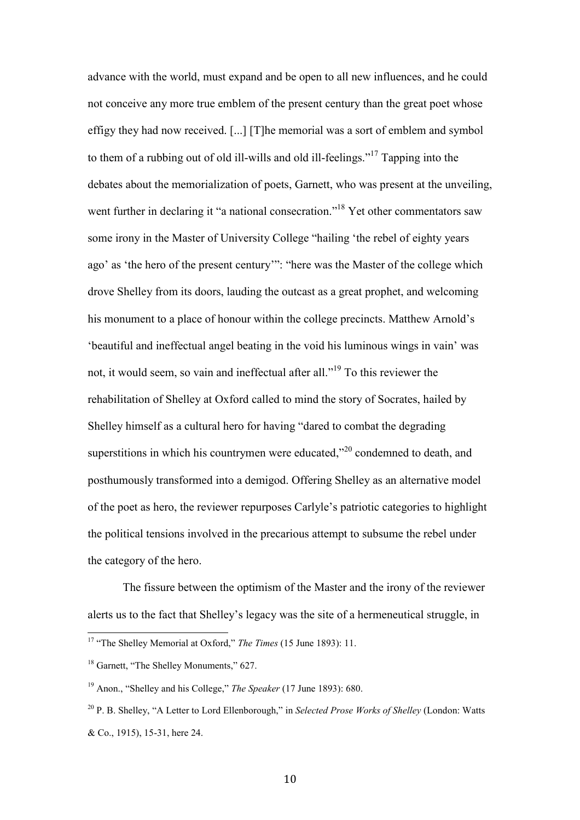advance with the world, must expand and be open to all new influences, and he could not conceive any more true emblem of the present century than the great poet whose effigy they had now received. [...] [T]he memorial was a sort of emblem and symbol to them of a rubbing out of old ill-wills and old ill-feelings."<sup>17</sup> Tapping into the debates about the memorialization of poets, Garnett, who was present at the unveiling, went further in declaring it "a national consecration."<sup>18</sup> Yet other commentators saw some irony in the Master of University College "hailing 'the rebel of eighty years ago' as 'the hero of the present century'": "here was the Master of the college which drove Shelley from its doors, lauding the outcast as a great prophet, and welcoming his monument to a place of honour within the college precincts. Matthew Arnold's 'beautiful and ineffectual angel beating in the void his luminous wings in vain' was not, it would seem, so vain and ineffectual after all."<sup>19</sup> To this reviewer the rehabilitation of Shelley at Oxford called to mind the story of Socrates, hailed by Shelley himself as a cultural hero for having "dared to combat the degrading superstitions in which his countrymen were educated,"<sup>20</sup> condemned to death, and posthumously transformed into a demigod. Offering Shelley as an alternative model of the poet as hero, the reviewer repurposes Carlyle's patriotic categories to highlight the political tensions involved in the precarious attempt to subsume the rebel under the category of the hero.

The fissure between the optimism of the Master and the irony of the reviewer alerts us to the fact that Shelley's legacy was the site of a hermeneutical struggle, in

<sup>&</sup>lt;sup>17</sup> "The Shelley Memorial at Oxford," *The Times* (15 June 1893): 11.

<sup>&</sup>lt;sup>18</sup> Garnett, "The Shelley Monuments," 627.

<sup>19</sup> Anon., "Shelley and his College," *The Speaker* (17 June 1893): 680.

<sup>20</sup> P. B. Shelley, "A Letter to Lord Ellenborough," in *Selected Prose Works of Shelley* (London: Watts & Co., 1915), 15-31, here 24.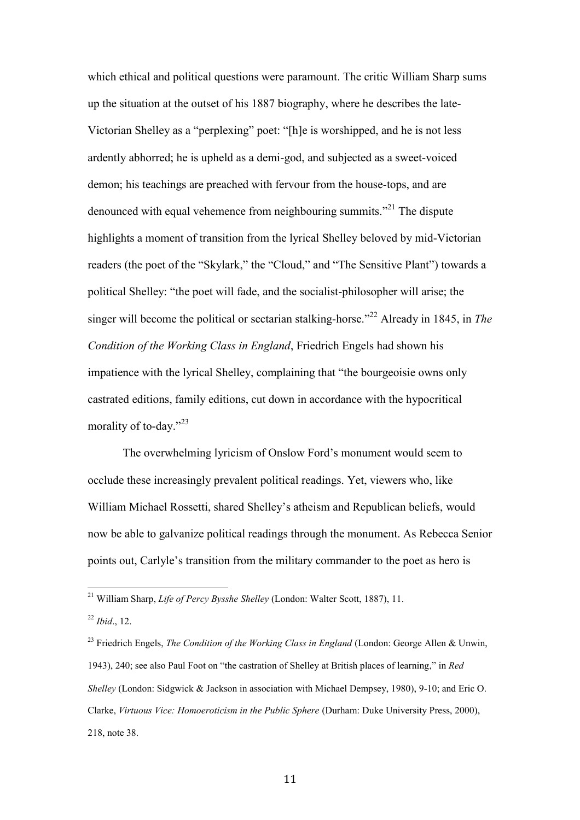which ethical and political questions were paramount. The critic William Sharp sums up the situation at the outset of his 1887 biography, where he describes the late-Victorian Shelley as a "perplexing" poet: "[h]e is worshipped, and he is not less ardently abhorred; he is upheld as a demi-god, and subjected as a sweet-voiced demon; his teachings are preached with fervour from the house-tops, and are denounced with equal vehemence from neighbouring summits."<sup>21</sup> The dispute highlights a moment of transition from the lyrical Shelley beloved by mid-Victorian readers (the poet of the "Skylark," the "Cloud," and "The Sensitive Plant") towards a political Shelley: "the poet will fade, and the socialist-philosopher will arise; the singer will become the political or sectarian stalking-horse." <sup>22</sup> Already in 1845, in *The Condition of the Working Class in England*, Friedrich Engels had shown his impatience with the lyrical Shelley, complaining that "the bourgeoisie owns only castrated editions, family editions, cut down in accordance with the hypocritical morality of to-day."23

The overwhelming lyricism of Onslow Ford's monument would seem to occlude these increasingly prevalent political readings. Yet, viewers who, like William Michael Rossetti, shared Shelley's atheism and Republican beliefs, would now be able to galvanize political readings through the monument. As Rebecca Senior points out, Carlyle's transition from the military commander to the poet as hero is

 $\overline{a}$ <sup>21</sup> William Sharp, *Life of Percy Bysshe Shelley* (London: Walter Scott, 1887), 11.

<sup>22</sup> *Ibid*., 12.

<sup>&</sup>lt;sup>23</sup> Friedrich Engels, *The Condition of the Working Class in England* (London: George Allen & Unwin, 1943), 240; see also Paul Foot on "the castration of Shelley at British places of learning," in *Red Shelley* (London: Sidgwick & Jackson in association with Michael Dempsey, 1980), 9-10; and Eric O. Clarke, *Virtuous Vice: Homoeroticism in the Public Sphere* (Durham: Duke University Press, 2000), 218, note 38.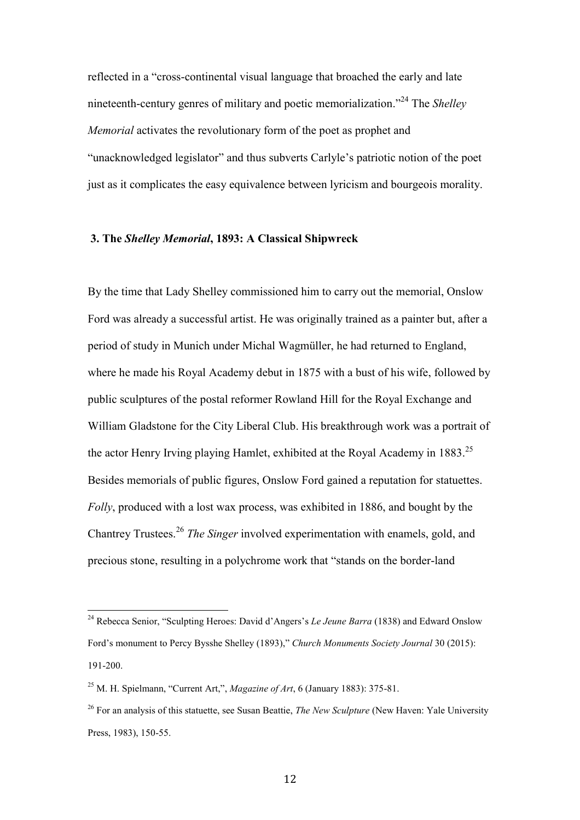reflected in a "cross-continental visual language that broached the early and late nineteenth-century genres of military and poetic memorialization." <sup>24</sup> The *Shelley Memorial* activates the revolutionary form of the poet as prophet and "unacknowledged legislator" and thus subverts Carlyle's patriotic notion of the poet just as it complicates the easy equivalence between lyricism and bourgeois morality.

## **3. The** *Shelley Memorial***, 1893: A Classical Shipwreck**

By the time that Lady Shelley commissioned him to carry out the memorial, Onslow Ford was already a successful artist. He was originally trained as a painter but, after a period of study in Munich under Michal Wagmüller, he had returned to England, where he made his Royal Academy debut in 1875 with a bust of his wife, followed by public sculptures of the postal reformer Rowland Hill for the Royal Exchange and William Gladstone for the City Liberal Club. His breakthrough work was a portrait of the actor Henry Irving playing Hamlet, exhibited at the Royal Academy in 1883.<sup>25</sup> Besides memorials of public figures, Onslow Ford gained a reputation for statuettes. *Folly*, produced with a lost wax process, was exhibited in 1886, and bought by the Chantrey Trustees.<sup>26</sup> *The Singer* involved experimentation with enamels, gold, and precious stone, resulting in a polychrome work that "stands on the border-land

<sup>24</sup> Rebecca Senior, "Sculpting Heroes: David d'Angers's *Le Jeune Barra* (1838) and Edward Onslow Ford's monument to Percy Bysshe Shelley (1893)," *Church Monuments Society Journal* 30 (2015): 191-200.

<sup>25</sup> M. H. Spielmann, "Current Art,", *Magazine of Art*, 6 (January 1883): 375-81.

<sup>26</sup> For an analysis of this statuette, see Susan Beattie, *The New Sculpture* (New Haven: Yale University Press, 1983), 150-55.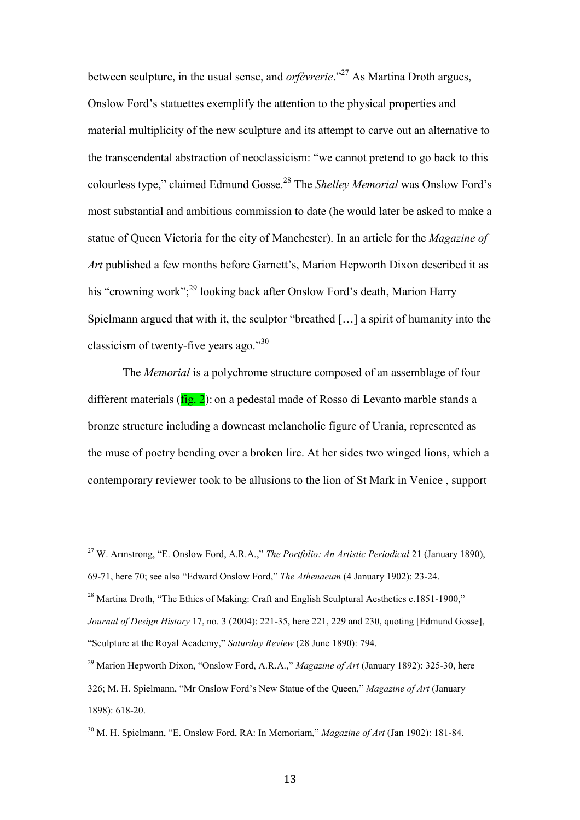between sculpture, in the usual sense, and *orfèvrerie*." <sup>27</sup> As Martina Droth argues, Onslow Ford's statuettes exemplify the attention to the physical properties and material multiplicity of the new sculpture and its attempt to carve out an alternative to the transcendental abstraction of neoclassicism: "we cannot pretend to go back to this colourless type," claimed Edmund Gosse.<sup>28</sup> The *Shelley Memorial* was Onslow Ford's most substantial and ambitious commission to date (he would later be asked to make a statue of Queen Victoria for the city of Manchester). In an article for the *Magazine of Art* published a few months before Garnett's, Marion Hepworth Dixon described it as his "crowning work";<sup>29</sup> looking back after Onslow Ford's death, Marion Harry Spielmann argued that with it, the sculptor "breathed […] a spirit of humanity into the classicism of twenty-five years ago."30

The *Memorial* is a polychrome structure composed of an assemblage of four different materials  $(\frac{fig}{2})$ : on a pedestal made of Rosso di Levanto marble stands a bronze structure including a downcast melancholic figure of Urania, represented as the muse of poetry bending over a broken lire. At her sides two winged lions, which a contemporary reviewer took to be allusions to the lion of St Mark in Venice , support

69-71, here 70; see also "Edward Onslow Ford," *The Athenaeum* (4 January 1902): 23-24.

 $\overline{a}$ 

<sup>28</sup> Martina Droth, "The Ethics of Making: Craft and English Sculptural Aesthetics c.1851-1900,"

<sup>27</sup> W. Armstrong, "E. Onslow Ford, A.R.A.," *The Portfolio: An Artistic Periodical* 21 (January 1890),

*Journal of Design History* 17, no. 3 (2004): 221-35, here 221, 229 and 230, quoting [Edmund Gosse], "Sculpture at the Royal Academy," *Saturday Review* (28 June 1890): 794.

<sup>29</sup> Marion Hepworth Dixon, "Onslow Ford, A.R.A.," *Magazine of Art* (January 1892): 325-30, here 326; M. H. Spielmann, "Mr Onslow Ford's New Statue of the Queen," *Magazine of Art* (January 1898): 618-20.

<sup>30</sup> M. H. Spielmann, "E. Onslow Ford, RA: In Memoriam," *Magazine of Art* (Jan 1902): 181-84.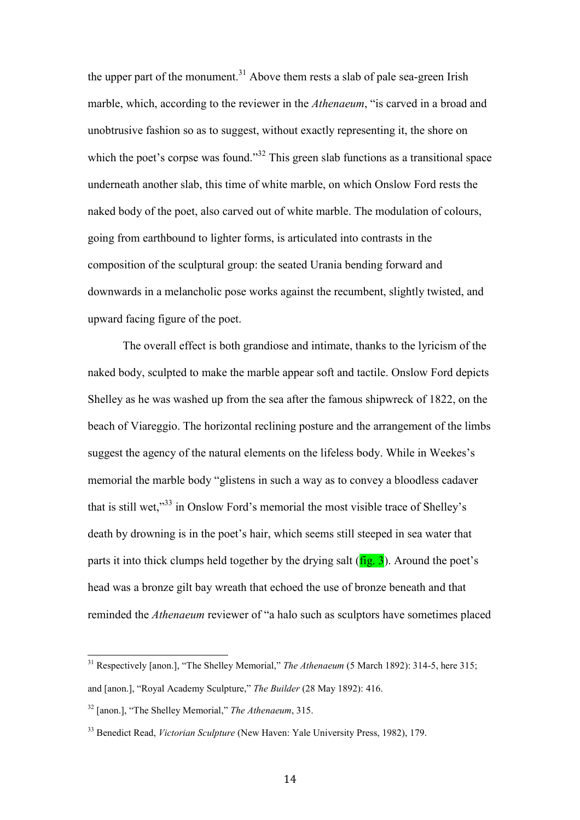the upper part of the monument.<sup>31</sup> Above them rests a slab of pale sea-green Irish marble, which, according to the reviewer in the *Athenaeum*, "is carved in a broad and unobtrusive fashion so as to suggest, without exactly representing it, the shore on which the poet's corpse was found."<sup>32</sup> This green slab functions as a transitional space underneath another slab, this time of white marble, on which Onslow Ford rests the naked body of the poet, also carved out of white marble. The modulation of colours, going from earthbound to lighter forms, is articulated into contrasts in the composition of the sculptural group: the seated Urania bending forward and downwards in a melancholic pose works against the recumbent, slightly twisted, and upward facing figure of the poet.

The overall effect is both grandiose and intimate, thanks to the lyricism of the naked body, sculpted to make the marble appear soft and tactile. Onslow Ford depicts Shelley as he was washed up from the sea after the famous shipwreck of 1822, on the beach of Viareggio. The horizontal reclining posture and the arrangement of the limbs suggest the agency of the natural elements on the lifeless body. While in Weekes's memorial the marble body "glistens in such a way as to convey a bloodless cadaver that is still wet,"<sup>33</sup> in Onslow Ford's memorial the most visible trace of Shelley's death by drowning is in the poet's hair, which seems still steeped in sea water that parts it into thick clumps held together by the drying salt  $(f_ig, 3)$ . Around the poet's head was a bronze gilt bay wreath that echoed the use of bronze beneath and that reminded the *Athenaeum* reviewer of "a halo such as sculptors have sometimes placed

<sup>31</sup> Respectively [anon.], "The Shelley Memorial," *The Athenaeum* (5 March 1892): 314-5, here 315; and [anon.], "Royal Academy Sculpture," *The Builder* (28 May 1892): 416.

<sup>32</sup> [anon.], "The Shelley Memorial," *The Athenaeum*, 315.

<sup>33</sup> Benedict Read, *Victorian Sculpture* (New Haven: Yale University Press, 1982), 179.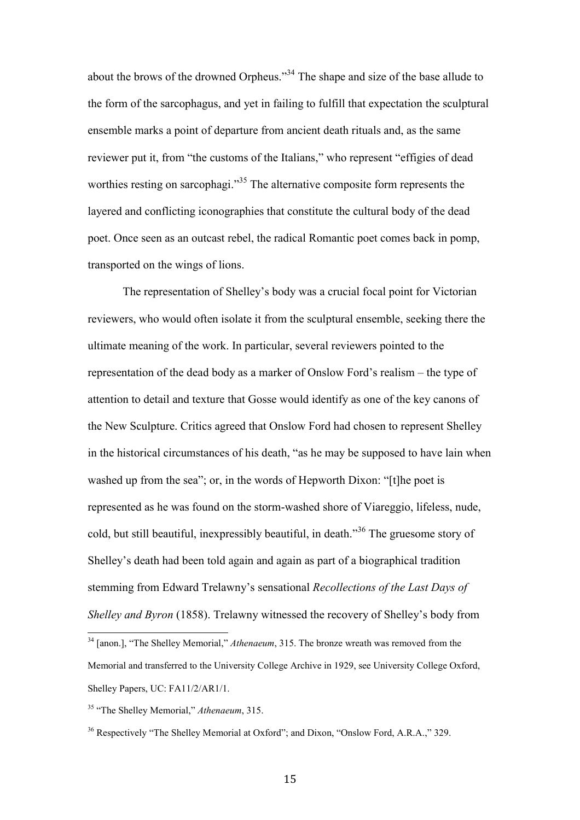about the brows of the drowned Orpheus."<sup>34</sup> The shape and size of the base allude to the form of the sarcophagus, and yet in failing to fulfill that expectation the sculptural ensemble marks a point of departure from ancient death rituals and, as the same reviewer put it, from "the customs of the Italians," who represent "effigies of dead worthies resting on sarcophagi."<sup>35</sup> The alternative composite form represents the layered and conflicting iconographies that constitute the cultural body of the dead poet. Once seen as an outcast rebel, the radical Romantic poet comes back in pomp, transported on the wings of lions.

The representation of Shelley's body was a crucial focal point for Victorian reviewers, who would often isolate it from the sculptural ensemble, seeking there the ultimate meaning of the work. In particular, several reviewers pointed to the representation of the dead body as a marker of Onslow Ford's realism – the type of attention to detail and texture that Gosse would identify as one of the key canons of the New Sculpture. Critics agreed that Onslow Ford had chosen to represent Shelley in the historical circumstances of his death, "as he may be supposed to have lain when washed up from the sea"; or, in the words of Hepworth Dixon: "[t]he poet is represented as he was found on the storm-washed shore of Viareggio, lifeless, nude, cold, but still beautiful, inexpressibly beautiful, in death." <sup>36</sup> The gruesome story of Shelley's death had been told again and again as part of a biographical tradition stemming from Edward Trelawny's sensational *Recollections of the Last Days of Shelley and Byron* (1858). Trelawny witnessed the recovery of Shelley's body from

<sup>34</sup> [anon.], "The Shelley Memorial," *Athenaeum*, 315. The bronze wreath was removed from the Memorial and transferred to the University College Archive in 1929, see University College Oxford, Shelley Papers, UC: FA11/2/AR1/1.

<sup>35</sup> "The Shelley Memorial," *Athenaeum*, 315.

<sup>&</sup>lt;sup>36</sup> Respectively "The Shelley Memorial at Oxford"; and Dixon, "Onslow Ford, A.R.A.," 329.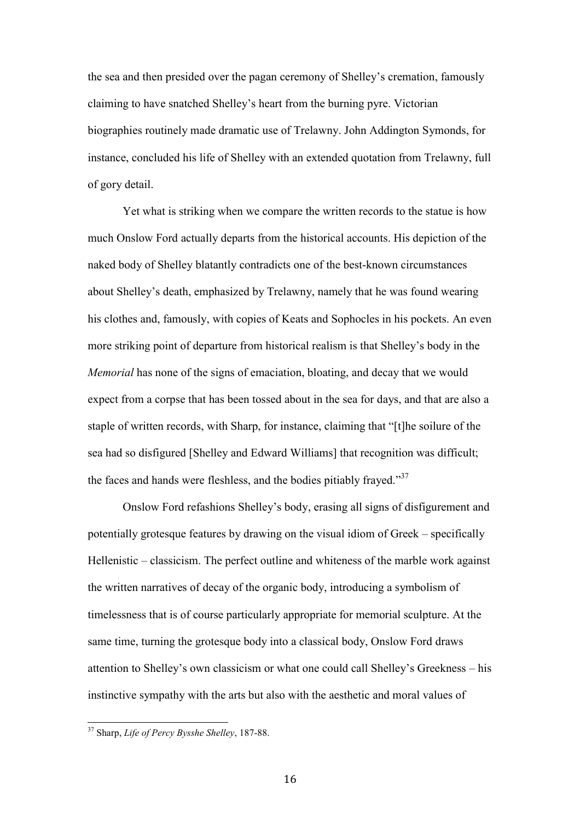the sea and then presided over the pagan ceremony of Shelley's cremation, famously claiming to have snatched Shelley's heart from the burning pyre. Victorian biographies routinely made dramatic use of Trelawny. John Addington Symonds, for instance, concluded his life of Shelley with an extended quotation from Trelawny, full of gory detail.

Yet what is striking when we compare the written records to the statue is how much Onslow Ford actually departs from the historical accounts. His depiction of the naked body of Shelley blatantly contradicts one of the best-known circumstances about Shelley's death, emphasized by Trelawny, namely that he was found wearing his clothes and, famously, with copies of Keats and Sophocles in his pockets. An even more striking point of departure from historical realism is that Shelley's body in the *Memorial* has none of the signs of emaciation, bloating, and decay that we would expect from a corpse that has been tossed about in the sea for days, and that are also a staple of written records, with Sharp, for instance, claiming that "[t]he soilure of the sea had so disfigured [Shelley and Edward Williams] that recognition was difficult; the faces and hands were fleshless, and the bodies pitiably frayed."<sup>37</sup>

Onslow Ford refashions Shelley's body, erasing all signs of disfigurement and potentially grotesque features by drawing on the visual idiom of Greek – specifically Hellenistic – classicism. The perfect outline and whiteness of the marble work against the written narratives of decay of the organic body, introducing a symbolism of timelessness that is of course particularly appropriate for memorial sculpture. At the same time, turning the grotesque body into a classical body, Onslow Ford draws attention to Shelley's own classicism or what one could call Shelley's Greekness – his instinctive sympathy with the arts but also with the aesthetic and moral values of

<sup>37</sup> Sharp, *Life of Percy Bysshe Shelley*, 187-88.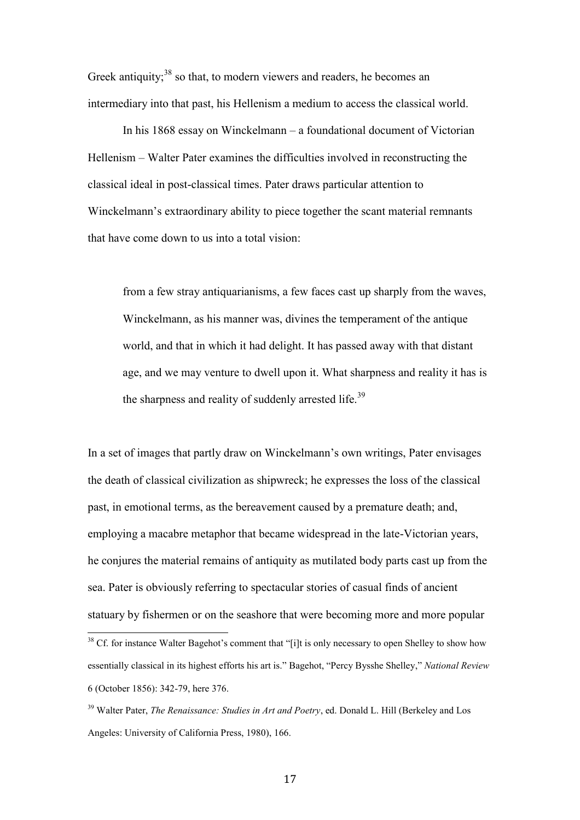Greek antiquity;<sup>38</sup> so that, to modern viewers and readers, he becomes an intermediary into that past, his Hellenism a medium to access the classical world.

In his 1868 essay on Winckelmann – a foundational document of Victorian Hellenism – Walter Pater examines the difficulties involved in reconstructing the classical ideal in post-classical times. Pater draws particular attention to Winckelmann's extraordinary ability to piece together the scant material remnants that have come down to us into a total vision:

from a few stray antiquarianisms, a few faces cast up sharply from the waves, Winckelmann, as his manner was, divines the temperament of the antique world, and that in which it had delight. It has passed away with that distant age, and we may venture to dwell upon it. What sharpness and reality it has is the sharpness and reality of suddenly arrested life.<sup>39</sup>

In a set of images that partly draw on Winckelmann's own writings, Pater envisages the death of classical civilization as shipwreck; he expresses the loss of the classical past, in emotional terms, as the bereavement caused by a premature death; and, employing a macabre metaphor that became widespread in the late-Victorian years, he conjures the material remains of antiquity as mutilated body parts cast up from the sea. Pater is obviously referring to spectacular stories of casual finds of ancient statuary by fishermen or on the seashore that were becoming more and more popular

<sup>&</sup>lt;sup>38</sup> Cf. for instance Walter Bagehot's comment that "[i]t is only necessary to open Shelley to show how essentially classical in its highest efforts his art is." Bagehot, "Percy Bysshe Shelley," *National Review* 6 (October 1856): 342-79, here 376.

<sup>39</sup> Walter Pater, *The Renaissance: Studies in Art and Poetry*, ed. Donald L. Hill (Berkeley and Los Angeles: University of California Press, 1980), 166.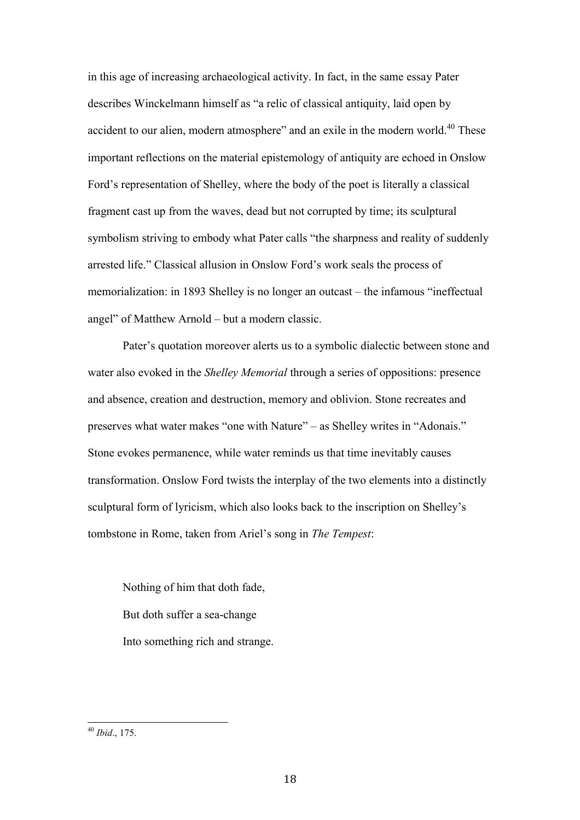in this age of increasing archaeological activity. In fact, in the same essay Pater describes Winckelmann himself as "a relic of classical antiquity, laid open by accident to our alien, modern atmosphere" and an exile in the modern world.<sup>40</sup> These important reflections on the material epistemology of antiquity are echoed in Onslow Ford's representation of Shelley, where the body of the poet is literally a classical fragment cast up from the waves, dead but not corrupted by time; its sculptural symbolism striving to embody what Pater calls "the sharpness and reality of suddenly arrested life." Classical allusion in Onslow Ford's work seals the process of memorialization: in 1893 Shelley is no longer an outcast – the infamous "ineffectual angel" of Matthew Arnold – but a modern classic.

Pater's quotation moreover alerts us to a symbolic dialectic between stone and water also evoked in the *Shelley Memorial* through a series of oppositions: presence and absence, creation and destruction, memory and oblivion. Stone recreates and preserves what water makes "one with Nature" – as Shelley writes in "Adonais." Stone evokes permanence, while water reminds us that time inevitably causes transformation. Onslow Ford twists the interplay of the two elements into a distinctly sculptural form of lyricism, which also looks back to the inscription on Shelley's tombstone in Rome, taken from Ariel's song in *The Tempest*:

Nothing of him that doth fade, But doth suffer a sea-change Into something rich and strange.

<sup>40</sup> *Ibid*., 175.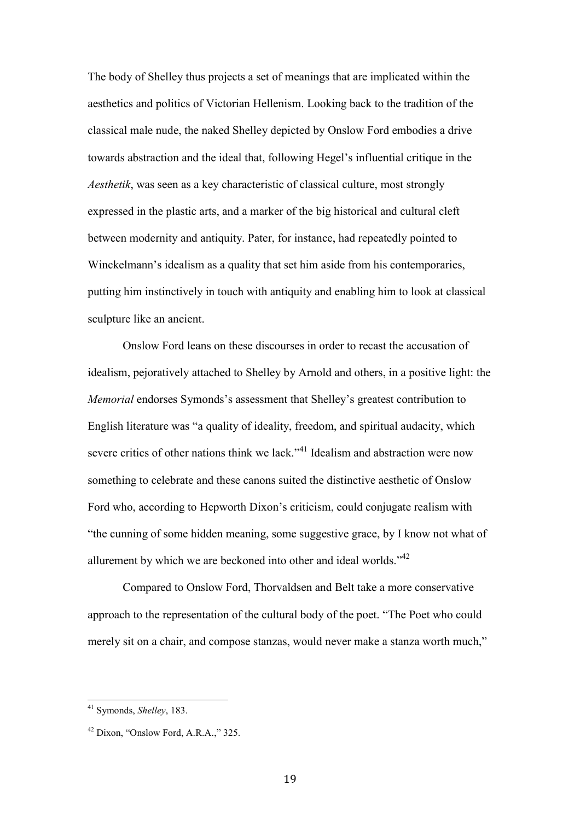The body of Shelley thus projects a set of meanings that are implicated within the aesthetics and politics of Victorian Hellenism. Looking back to the tradition of the classical male nude, the naked Shelley depicted by Onslow Ford embodies a drive towards abstraction and the ideal that, following Hegel's influential critique in the *Aesthetik*, was seen as a key characteristic of classical culture, most strongly expressed in the plastic arts, and a marker of the big historical and cultural cleft between modernity and antiquity. Pater, for instance, had repeatedly pointed to Winckelmann's idealism as a quality that set him aside from his contemporaries, putting him instinctively in touch with antiquity and enabling him to look at classical sculpture like an ancient.

Onslow Ford leans on these discourses in order to recast the accusation of idealism, pejoratively attached to Shelley by Arnold and others, in a positive light: the *Memorial* endorses Symonds's assessment that Shelley's greatest contribution to English literature was "a quality of ideality, freedom, and spiritual audacity, which severe critics of other nations think we lack."<sup>41</sup> Idealism and abstraction were now something to celebrate and these canons suited the distinctive aesthetic of Onslow Ford who, according to Hepworth Dixon's criticism, could conjugate realism with "the cunning of some hidden meaning, some suggestive grace, by I know not what of allurement by which we are beckoned into other and ideal worlds."<sup>42</sup>

Compared to Onslow Ford, Thorvaldsen and Belt take a more conservative approach to the representation of the cultural body of the poet. "The Poet who could merely sit on a chair, and compose stanzas, would never make a stanza worth much,"

<sup>41</sup> Symonds, *Shelley*, 183.

<sup>42</sup> Dixon, "Onslow Ford, A.R.A.," 325.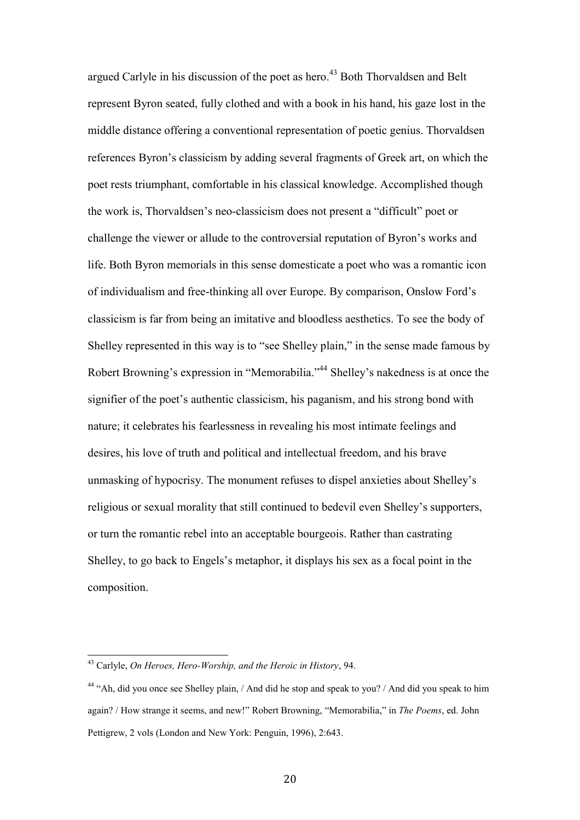argued Carlyle in his discussion of the poet as hero.<sup>43</sup> Both Thorvaldsen and Belt represent Byron seated, fully clothed and with a book in his hand, his gaze lost in the middle distance offering a conventional representation of poetic genius. Thorvaldsen references Byron's classicism by adding several fragments of Greek art, on which the poet rests triumphant, comfortable in his classical knowledge. Accomplished though the work is, Thorvaldsen's neo-classicism does not present a "difficult" poet or challenge the viewer or allude to the controversial reputation of Byron's works and life. Both Byron memorials in this sense domesticate a poet who was a romantic icon of individualism and free-thinking all over Europe. By comparison, Onslow Ford's classicism is far from being an imitative and bloodless aesthetics. To see the body of Shelley represented in this way is to "see Shelley plain," in the sense made famous by Robert Browning's expression in "Memorabilia."<sup>44</sup> Shelley's nakedness is at once the signifier of the poet's authentic classicism, his paganism, and his strong bond with nature; it celebrates his fearlessness in revealing his most intimate feelings and desires, his love of truth and political and intellectual freedom, and his brave unmasking of hypocrisy. The monument refuses to dispel anxieties about Shelley's religious or sexual morality that still continued to bedevil even Shelley's supporters, or turn the romantic rebel into an acceptable bourgeois. Rather than castrating Shelley, to go back to Engels's metaphor, it displays his sex as a focal point in the composition.

<sup>43</sup> Carlyle, *On Heroes, Hero-Worship, and the Heroic in History*, 94.

<sup>&</sup>lt;sup>44</sup> "Ah, did you once see Shelley plain, / And did he stop and speak to you? / And did you speak to him again? / How strange it seems, and new!" Robert Browning, "Memorabilia," in *The Poems*, ed. John Pettigrew, 2 vols (London and New York: Penguin, 1996), 2:643.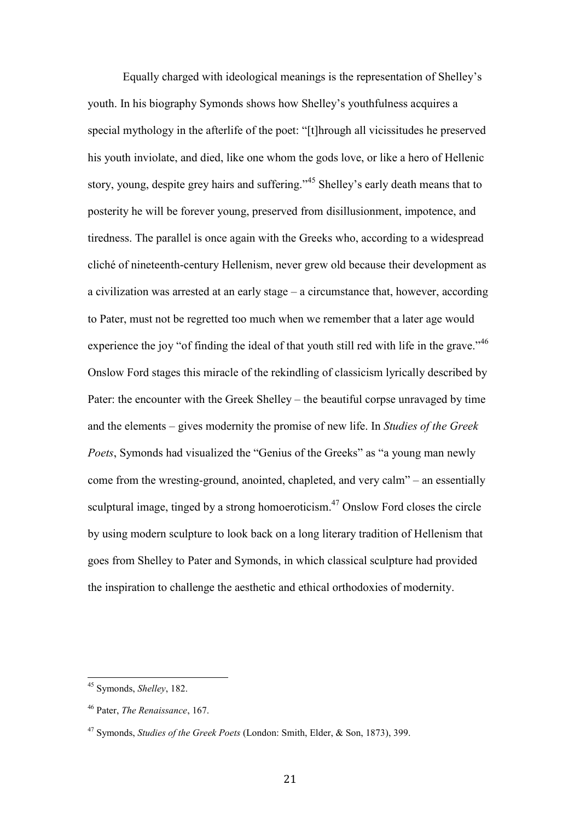Equally charged with ideological meanings is the representation of Shelley's youth. In his biography Symonds shows how Shelley's youthfulness acquires a special mythology in the afterlife of the poet: "[t]hrough all vicissitudes he preserved his youth inviolate, and died, like one whom the gods love, or like a hero of Hellenic story, young, despite grey hairs and suffering."<sup>45</sup> Shelley's early death means that to posterity he will be forever young, preserved from disillusionment, impotence, and tiredness. The parallel is once again with the Greeks who, according to a widespread cliché of nineteenth-century Hellenism, never grew old because their development as a civilization was arrested at an early stage – a circumstance that, however, according to Pater, must not be regretted too much when we remember that a later age would experience the joy "of finding the ideal of that youth still red with life in the grave."<sup>46</sup> Onslow Ford stages this miracle of the rekindling of classicism lyrically described by Pater: the encounter with the Greek Shelley – the beautiful corpse unravaged by time and the elements – gives modernity the promise of new life. In *Studies of the Greek Poets*, Symonds had visualized the "Genius of the Greeks" as "a young man newly come from the wresting-ground, anointed, chapleted, and very calm" – an essentially sculptural image, tinged by a strong homoeroticism.<sup>47</sup> Onslow Ford closes the circle by using modern sculpture to look back on a long literary tradition of Hellenism that goes from Shelley to Pater and Symonds, in which classical sculpture had provided the inspiration to challenge the aesthetic and ethical orthodoxies of modernity.

<sup>45</sup> Symonds, *Shelley*, 182.

<sup>46</sup> Pater, *The Renaissance*, 167.

<sup>47</sup> Symonds, *Studies of the Greek Poets* (London: Smith, Elder, & Son, 1873), 399.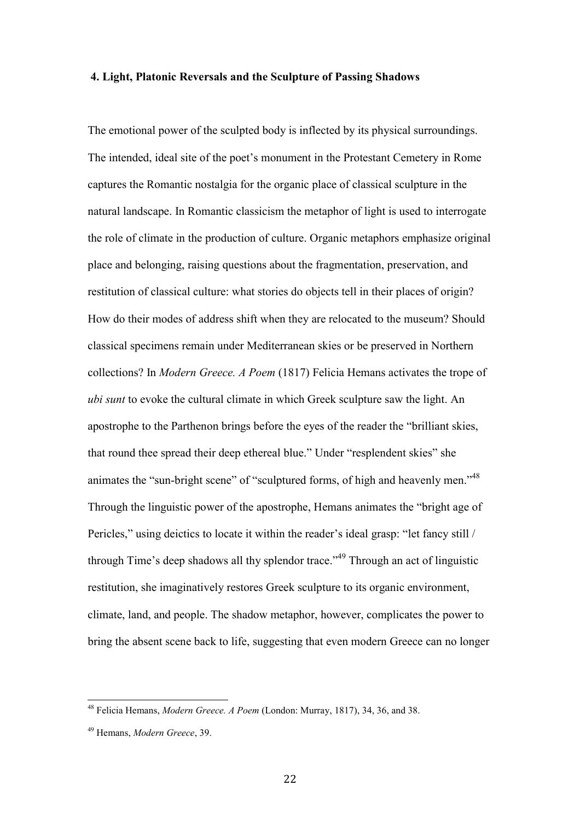#### **4. Light, Platonic Reversals and the Sculpture of Passing Shadows**

The emotional power of the sculpted body is inflected by its physical surroundings. The intended, ideal site of the poet's monument in the Protestant Cemetery in Rome captures the Romantic nostalgia for the organic place of classical sculpture in the natural landscape. In Romantic classicism the metaphor of light is used to interrogate the role of climate in the production of culture. Organic metaphors emphasize original place and belonging, raising questions about the fragmentation, preservation, and restitution of classical culture: what stories do objects tell in their places of origin? How do their modes of address shift when they are relocated to the museum? Should classical specimens remain under Mediterranean skies or be preserved in Northern collections? In *Modern Greece. A Poem* (1817) Felicia Hemans activates the trope of *ubi sunt* to evoke the cultural climate in which Greek sculpture saw the light. An apostrophe to the Parthenon brings before the eyes of the reader the "brilliant skies, that round thee spread their deep ethereal blue." Under "resplendent skies" she animates the "sun-bright scene" of "sculptured forms, of high and heavenly men."<sup>48</sup> Through the linguistic power of the apostrophe, Hemans animates the "bright age of Pericles," using deictics to locate it within the reader's ideal grasp: "let fancy still / through Time's deep shadows all thy splendor trace."<sup>49</sup> Through an act of linguistic restitution, she imaginatively restores Greek sculpture to its organic environment, climate, land, and people. The shadow metaphor, however, complicates the power to bring the absent scene back to life, suggesting that even modern Greece can no longer

<sup>48</sup> Felicia Hemans, *Modern Greece. A Poem* (London: Murray, 1817), 34, 36, and 38.

<sup>49</sup> Hemans, *Modern Greece*, 39.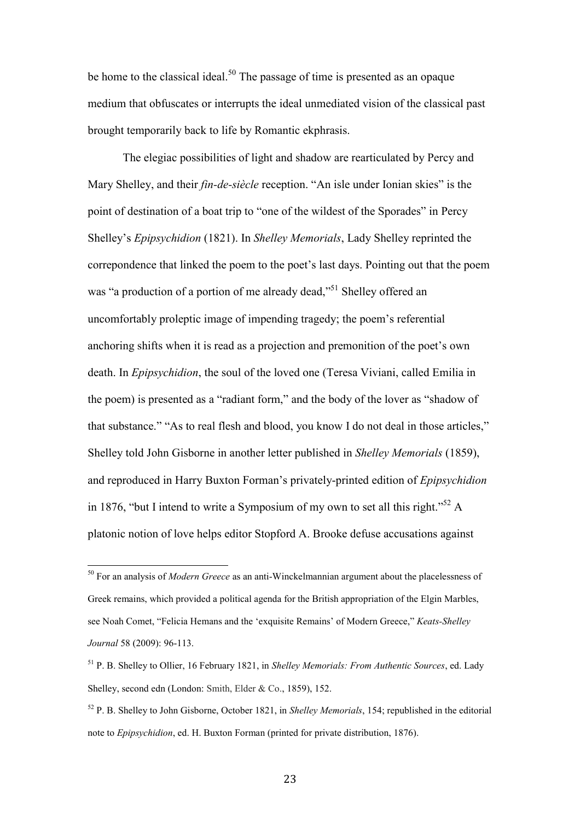be home to the classical ideal.<sup>50</sup> The passage of time is presented as an opaque medium that obfuscates or interrupts the ideal unmediated vision of the classical past brought temporarily back to life by Romantic ekphrasis.

The elegiac possibilities of light and shadow are rearticulated by Percy and Mary Shelley, and their *fin-de-siècle* reception. "An isle under Ionian skies" is the point of destination of a boat trip to "one of the wildest of the Sporades" in Percy Shelley's *Epipsychidion* (1821). In *Shelley Memorials*, Lady Shelley reprinted the correpondence that linked the poem to the poet's last days. Pointing out that the poem was "a production of a portion of me already dead,"<sup>51</sup> Shelley offered an uncomfortably proleptic image of impending tragedy; the poem's referential anchoring shifts when it is read as a projection and premonition of the poet's own death. In *Epipsychidion*, the soul of the loved one (Teresa Viviani, called Emilia in the poem) is presented as a "radiant form," and the body of the lover as "shadow of that substance." "As to real flesh and blood, you know I do not deal in those articles," Shelley told John Gisborne in another letter published in *Shelley Memorials* (1859), and reproduced in Harry Buxton Forman's privately-printed edition of *Epipsychidion* in 1876, "but I intend to write a Symposium of my own to set all this right."<sup>52</sup> A platonic notion of love helps editor Stopford A. Brooke defuse accusations against

<sup>50</sup> For an analysis of *Modern Greece* as an anti-Winckelmannian argument about the placelessness of Greek remains, which provided a political agenda for the British appropriation of the Elgin Marbles, see Noah Comet, "Felicia Hemans and the 'exquisite Remains' of Modern Greece," *Keats-Shelley Journal* 58 (2009): 96-113.

<sup>51</sup> P. B. Shelley to Ollier, 16 February 1821, in *Shelley Memorials: From Authentic Sources*, ed. Lady Shelley, second edn (London: Smith, Elder & Co., 1859), 152.

<sup>52</sup> P. B. Shelley to John Gisborne, October 1821, in *Shelley Memorials*, 154; republished in the editorial note to *Epipsychidion*, ed. H. Buxton Forman (printed for private distribution, 1876).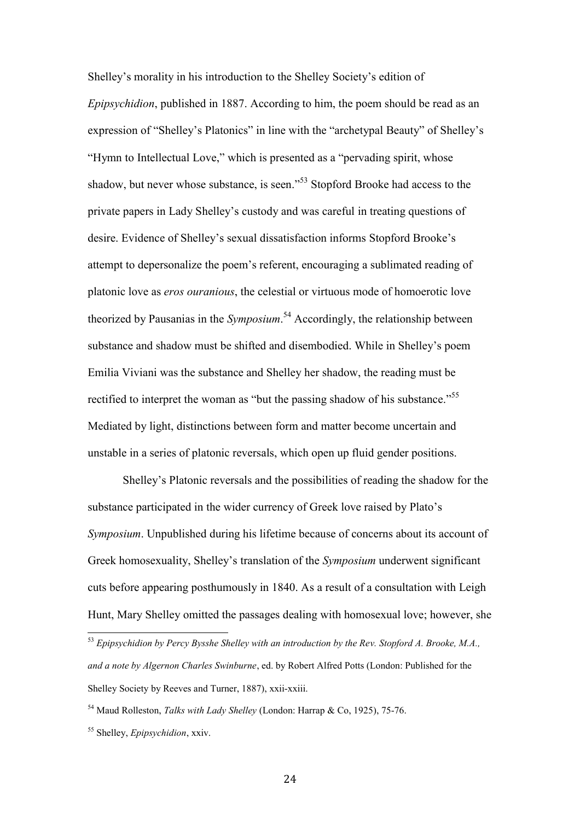Shelley's morality in his introduction to the Shelley Society's edition of *Epipsychidion*, published in 1887. According to him, the poem should be read as an expression of "Shelley's Platonics" in line with the "archetypal Beauty" of Shelley's "Hymn to Intellectual Love," which is presented as a "pervading spirit, whose shadow, but never whose substance, is seen."<sup>53</sup> Stopford Brooke had access to the private papers in Lady Shelley's custody and was careful in treating questions of desire. Evidence of Shelley's sexual dissatisfaction informs Stopford Brooke's attempt to depersonalize the poem's referent, encouraging a sublimated reading of platonic love as *eros ouranious*, the celestial or virtuous mode of homoerotic love theorized by Pausanias in the *Symposium*. <sup>54</sup> Accordingly, the relationship between substance and shadow must be shifted and disembodied. While in Shelley's poem Emilia Viviani was the substance and Shelley her shadow, the reading must be rectified to interpret the woman as "but the passing shadow of his substance."<sup>55</sup> Mediated by light, distinctions between form and matter become uncertain and unstable in a series of platonic reversals, which open up fluid gender positions.

Shelley's Platonic reversals and the possibilities of reading the shadow for the substance participated in the wider currency of Greek love raised by Plato's *Symposium*. Unpublished during his lifetime because of concerns about its account of Greek homosexuality, Shelley's translation of the *Symposium* underwent significant cuts before appearing posthumously in 1840. As a result of a consultation with Leigh Hunt, Mary Shelley omitted the passages dealing with homosexual love; however, she

<sup>53</sup> *Epipsychidion by Percy Bysshe Shelley with an introduction by the Rev. Stopford A. Brooke, M.A., and a note by Algernon Charles Swinburne*, ed. by Robert Alfred Potts (London: Published for the Shelley Society by Reeves and Turner, 1887), xxii-xxiii.

<sup>54</sup> Maud Rolleston, *Talks with Lady Shelley* (London: Harrap & Co, 1925), 75-76.

<sup>55</sup> Shelley, *Epipsychidion*, xxiv.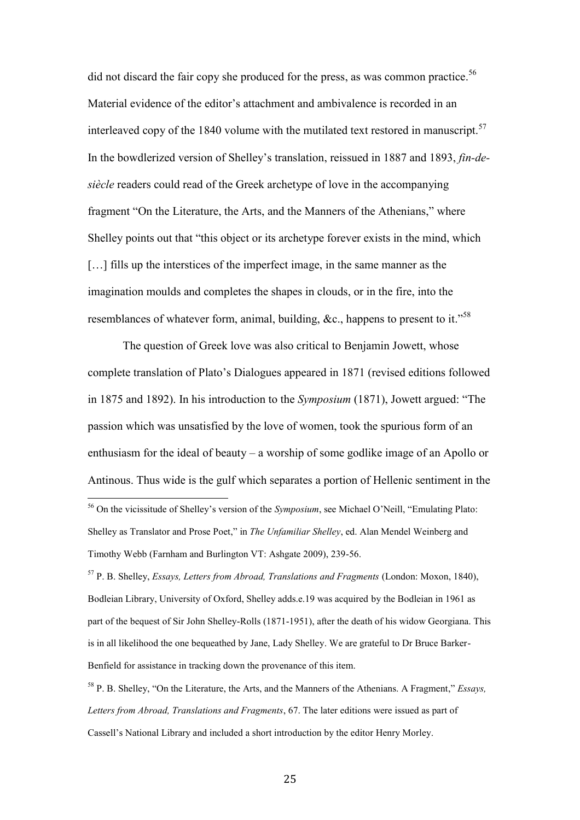did not discard the fair copy she produced for the press, as was common practice.<sup>56</sup> Material evidence of the editor's attachment and ambivalence is recorded in an interleaved copy of the 1840 volume with the mutilated text restored in manuscript.<sup>57</sup> In the bowdlerized version of Shelley's translation, reissued in 1887 and 1893, *fin-desiècle* readers could read of the Greek archetype of love in the accompanying fragment "On the Literature, the Arts, and the Manners of the Athenians," where Shelley points out that "this object or its archetype forever exists in the mind, which [...] fills up the interstices of the imperfect image, in the same manner as the imagination moulds and completes the shapes in clouds, or in the fire, into the resemblances of whatever form, animal, building, &c., happens to present to it."<sup>58</sup>

The question of Greek love was also critical to Benjamin Jowett, whose complete translation of Plato's Dialogues appeared in 1871 (revised editions followed in 1875 and 1892). In his introduction to the *Symposium* (1871), Jowett argued: "The passion which was unsatisfied by the love of women, took the spurious form of an enthusiasm for the ideal of beauty – a worship of some godlike image of an Apollo or Antinous. Thus wide is the gulf which separates a portion of Hellenic sentiment in the  $\overline{a}$ 

<sup>56</sup> On the vicissitude of Shelley's version of the *Symposium*, see Michael O'Neill, "Emulating Plato: Shelley as Translator and Prose Poet," in *The Unfamiliar Shelley*, ed. Alan Mendel Weinberg and Timothy Webb (Farnham and Burlington VT: Ashgate 2009), 239-56.

<sup>57</sup> P. B. Shelley, *Essays, Letters from Abroad, Translations and Fragments* (London: Moxon, 1840), Bodleian Library, University of Oxford, Shelley adds.e.19 was acquired by the Bodleian in 1961 as part of the bequest of Sir John Shelley-Rolls (1871-1951), after the death of his widow Georgiana. This is in all likelihood the one bequeathed by Jane, Lady Shelley. We are grateful to Dr Bruce Barker-Benfield for assistance in tracking down the provenance of this item.

<sup>58</sup> P. B. Shelley, "On the Literature, the Arts, and the Manners of the Athenians. A Fragment," *Essays, Letters from Abroad, Translations and Fragments*, 67. The later editions were issued as part of Cassell's National Library and included a short introduction by the editor Henry Morley.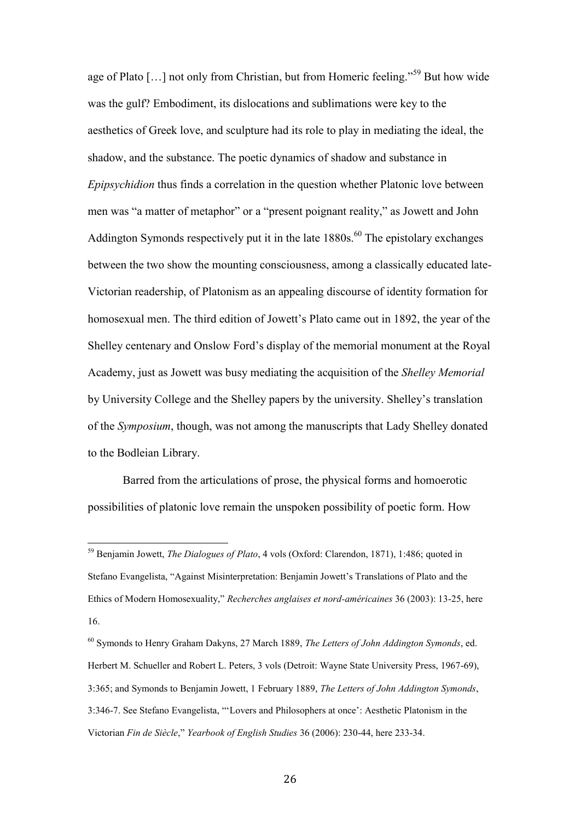age of Plato [...] not only from Christian, but from Homeric feeling."<sup>59</sup> But how wide was the gulf? Embodiment, its dislocations and sublimations were key to the aesthetics of Greek love, and sculpture had its role to play in mediating the ideal, the shadow, and the substance. The poetic dynamics of shadow and substance in *Epipsychidion* thus finds a correlation in the question whether Platonic love between men was "a matter of metaphor" or a "present poignant reality," as Jowett and John Addington Symonds respectively put it in the late  $1880s$ .<sup>60</sup> The epistolary exchanges between the two show the mounting consciousness, among a classically educated late-Victorian readership, of Platonism as an appealing discourse of identity formation for homosexual men. The third edition of Jowett's Plato came out in 1892, the year of the Shelley centenary and Onslow Ford's display of the memorial monument at the Royal Academy, just as Jowett was busy mediating the acquisition of the *Shelley Memorial* by University College and the Shelley papers by the university. Shelley's translation of the *Symposium*, though, was not among the manuscripts that Lady Shelley donated to the Bodleian Library.

Barred from the articulations of prose, the physical forms and homoerotic possibilities of platonic love remain the unspoken possibility of poetic form. How

<sup>59</sup> Benjamin Jowett, *The Dialogues of Plato*, 4 vols (Oxford: Clarendon, 1871), 1:486; quoted in Stefano Evangelista, "Against Misinterpretation: Benjamin Jowett's Translations of Plato and the Ethics of Modern Homosexuality," *Recherches anglaises et nord-américaines* 36 (2003): 13-25, here 16.

<sup>60</sup> Symonds to Henry Graham Dakyns, 27 March 1889, *The Letters of John Addington Symonds*, ed. Herbert M. Schueller and Robert L. Peters, 3 vols (Detroit: Wayne State University Press, 1967-69), 3:365; and Symonds to Benjamin Jowett, 1 February 1889, *The Letters of John Addington Symonds*, 3:346-7. See Stefano Evangelista, "'Lovers and Philosophers at once': Aesthetic Platonism in the Victorian *Fin de Siècle*," *Yearbook of English Studies* 36 (2006): 230-44, here 233-34.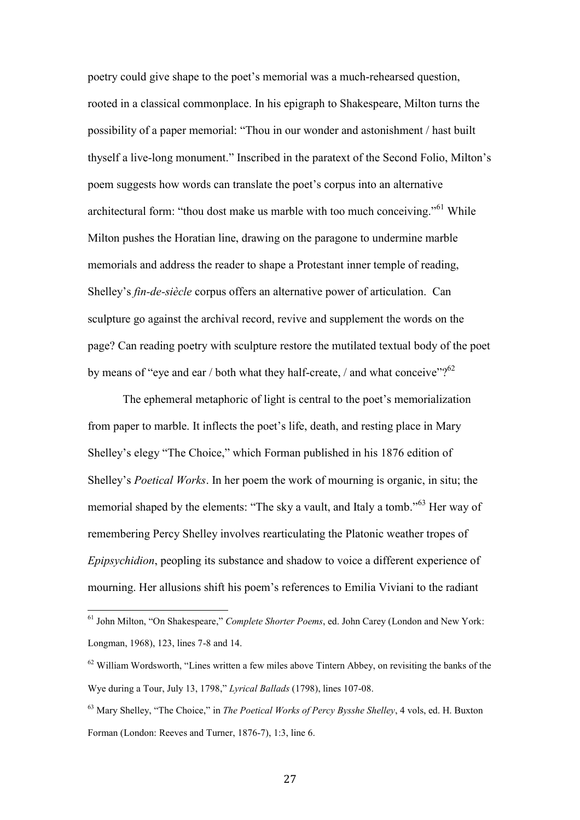poetry could give shape to the poet's memorial was a much-rehearsed question, rooted in a classical commonplace. In his epigraph to Shakespeare, Milton turns the possibility of a paper memorial: "Thou in our wonder and astonishment / hast built thyself a live-long monument." Inscribed in the paratext of the Second Folio, Milton's poem suggests how words can translate the poet's corpus into an alternative architectural form: "thou dost make us marble with too much conceiving."<sup>61</sup> While Milton pushes the Horatian line, drawing on the paragone to undermine marble memorials and address the reader to shape a Protestant inner temple of reading, Shelley's *fin-de-siècle* corpus offers an alternative power of articulation. Can sculpture go against the archival record, revive and supplement the words on the page? Can reading poetry with sculpture restore the mutilated textual body of the poet by means of "eye and ear / both what they half-create, / and what conceive"?  $62$ 

The ephemeral metaphoric of light is central to the poet's memorialization from paper to marble. It inflects the poet's life, death, and resting place in Mary Shelley's elegy "The Choice," which Forman published in his 1876 edition of Shelley's *Poetical Works*. In her poem the work of mourning is organic, in situ; the memorial shaped by the elements: "The sky a vault, and Italy a tomb."<sup>63</sup> Her way of remembering Percy Shelley involves rearticulating the Platonic weather tropes of *Epipsychidion*, peopling its substance and shadow to voice a different experience of mourning. Her allusions shift his poem's references to Emilia Viviani to the radiant

<sup>61</sup> John Milton, "On Shakespeare," *Complete Shorter Poems*, ed. John Carey (London and New York: Longman, 1968), 123, lines 7-8 and 14.

 $62$  William Wordsworth, "Lines written a few miles above Tintern Abbey, on revisiting the banks of the Wye during a Tour, July 13, 1798," *Lyrical Ballads* (1798), lines 107-08.

<sup>63</sup> Mary Shelley, "The Choice," in *The Poetical Works of Percy Bysshe Shelley*, 4 vols, ed. H. Buxton Forman (London: Reeves and Turner, 1876-7), 1:3, line 6.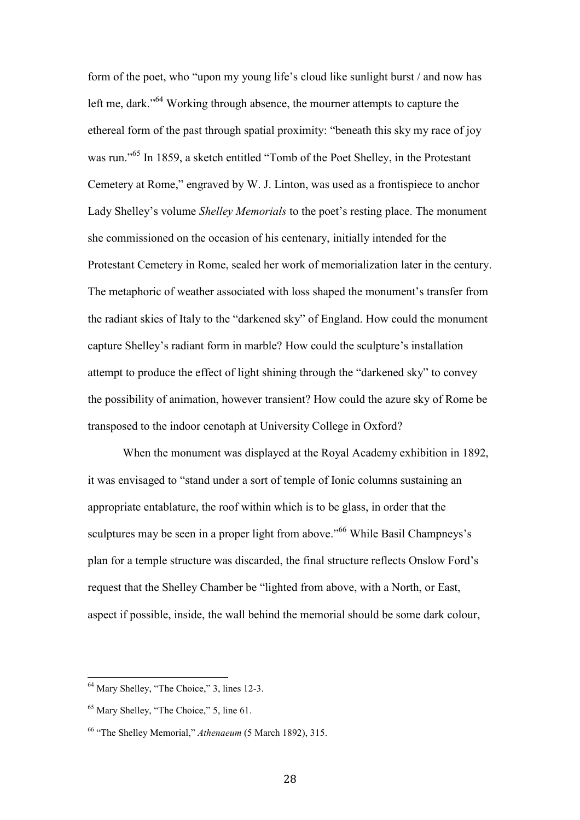form of the poet, who "upon my young life's cloud like sunlight burst / and now has left me, dark."<sup>64</sup> Working through absence, the mourner attempts to capture the ethereal form of the past through spatial proximity: "beneath this sky my race of joy was run."<sup>65</sup> In 1859, a sketch entitled "Tomb of the Poet Shelley, in the Protestant Cemetery at Rome," engraved by W. J. Linton, was used as a frontispiece to anchor Lady Shelley's volume *Shelley Memorials* to the poet's resting place. The monument she commissioned on the occasion of his centenary, initially intended for the Protestant Cemetery in Rome, sealed her work of memorialization later in the century. The metaphoric of weather associated with loss shaped the monument's transfer from the radiant skies of Italy to the "darkened sky" of England. How could the monument capture Shelley's radiant form in marble? How could the sculpture's installation attempt to produce the effect of light shining through the "darkened sky" to convey the possibility of animation, however transient? How could the azure sky of Rome be transposed to the indoor cenotaph at University College in Oxford?

When the monument was displayed at the Royal Academy exhibition in 1892, it was envisaged to "stand under a sort of temple of Ionic columns sustaining an appropriate entablature, the roof within which is to be glass, in order that the sculptures may be seen in a proper light from above."<sup>66</sup> While Basil Champneys's plan for a temple structure was discarded, the final structure reflects Onslow Ford's request that the Shelley Chamber be "lighted from above, with a North, or East, aspect if possible, inside, the wall behind the memorial should be some dark colour,

<sup>&</sup>lt;sup>64</sup> Mary Shelley, "The Choice," 3, lines 12-3.

<sup>&</sup>lt;sup>65</sup> Mary Shelley, "The Choice," 5, line 61.

<sup>66</sup> "The Shelley Memorial," *Athenaeum* (5 March 1892), 315.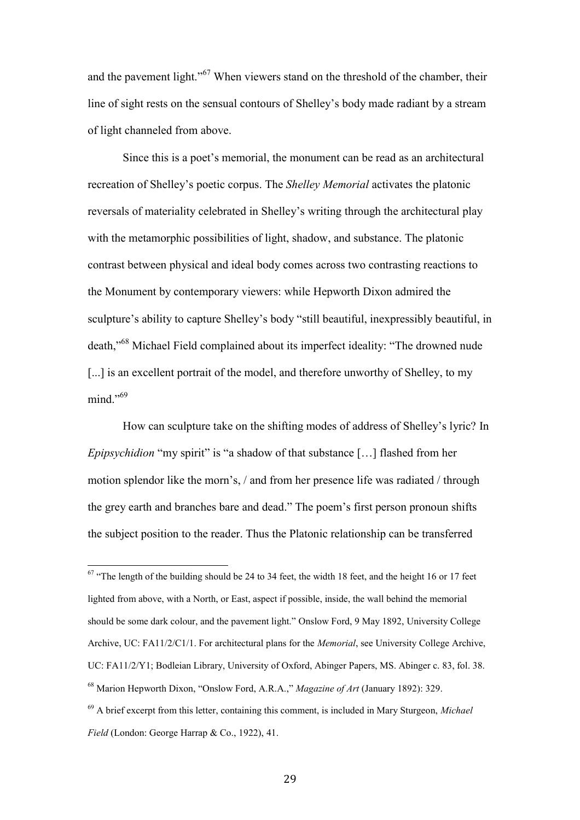and the pavement light."<sup>67</sup> When viewers stand on the threshold of the chamber, their line of sight rests on the sensual contours of Shelley's body made radiant by a stream of light channeled from above.

Since this is a poet's memorial, the monument can be read as an architectural recreation of Shelley's poetic corpus. The *Shelley Memorial* activates the platonic reversals of materiality celebrated in Shelley's writing through the architectural play with the metamorphic possibilities of light, shadow, and substance. The platonic contrast between physical and ideal body comes across two contrasting reactions to the Monument by contemporary viewers: while Hepworth Dixon admired the sculpture's ability to capture Shelley's body "still beautiful, inexpressibly beautiful, in death,"<sup>68</sup> Michael Field complained about its imperfect ideality: "The drowned nude [...] is an excellent portrait of the model, and therefore unworthy of Shelley, to my mind."<sup>69</sup>

How can sculpture take on the shifting modes of address of Shelley's lyric? In *Epipsychidion* "my spirit" is "a shadow of that substance [...] flashed from her motion splendor like the morn's, / and from her presence life was radiated / through the grey earth and branches bare and dead." The poem's first person pronoun shifts the subject position to the reader. Thus the Platonic relationship can be transferred

 $67$  "The length of the building should be 24 to 34 feet, the width 18 feet, and the height 16 or 17 feet lighted from above, with a North, or East, aspect if possible, inside, the wall behind the memorial should be some dark colour, and the pavement light." Onslow Ford, 9 May 1892, University College Archive, UC: FA11/2/C1/1. For architectural plans for the *Memorial*, see University College Archive, UC: FA11/2/Y1; Bodleian Library, University of Oxford, Abinger Papers, MS. Abinger c. 83, fol. 38. <sup>68</sup> Marion Hepworth Dixon, "Onslow Ford, A.R.A.," *Magazine of Art* (January 1892): 329.

<sup>69</sup> A brief excerpt from this letter, containing this comment, is included in Mary Sturgeon, *Michael Field* (London: George Harrap & Co., 1922), 41.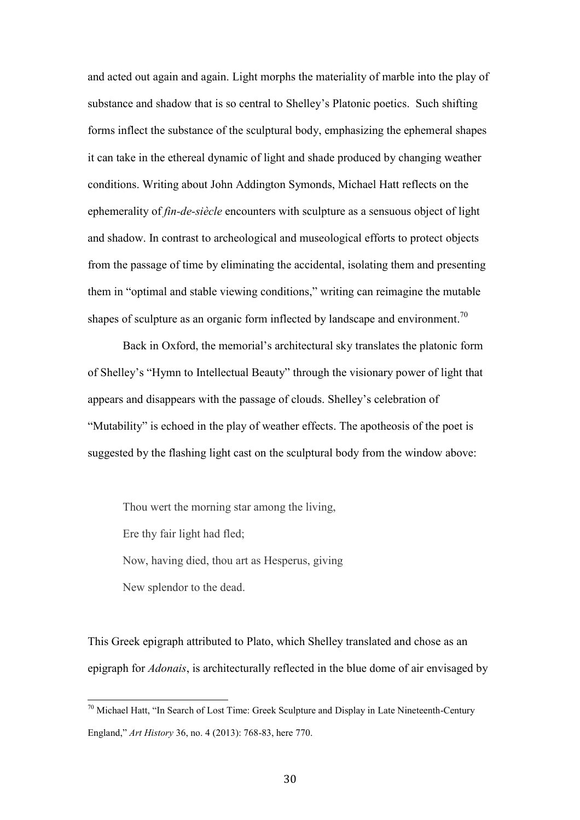and acted out again and again. Light morphs the materiality of marble into the play of substance and shadow that is so central to Shelley's Platonic poetics. Such shifting forms inflect the substance of the sculptural body, emphasizing the ephemeral shapes it can take in the ethereal dynamic of light and shade produced by changing weather conditions. Writing about John Addington Symonds, Michael Hatt reflects on the ephemerality of *fin-de-siècle* encounters with sculpture as a sensuous object of light and shadow. In contrast to archeological and museological efforts to protect objects from the passage of time by eliminating the accidental, isolating them and presenting them in "optimal and stable viewing conditions," writing can reimagine the mutable shapes of sculpture as an organic form inflected by landscape and environment.<sup>70</sup>

Back in Oxford, the memorial's architectural sky translates the platonic form of Shelley's "Hymn to Intellectual Beauty" through the visionary power of light that appears and disappears with the passage of clouds. Shelley's celebration of "Mutability" is echoed in the play of weather effects. The apotheosis of the poet is suggested by the flashing light cast on the sculptural body from the window above:

Thou wert the morning star among the living, Ere thy fair light had fled; Now, having died, thou art as Hesperus, giving New splendor to the dead.

 $\overline{\phantom{a}}$ 

This Greek epigraph attributed to Plato, which Shelley translated and chose as an epigraph for *Adonais*, is architecturally reflected in the blue dome of air envisaged by

<sup>&</sup>lt;sup>70</sup> Michael Hatt, "In Search of Lost Time: Greek Sculpture and Display in Late Nineteenth-Century England," *Art History* 36, no. 4 (2013): 768-83, here 770.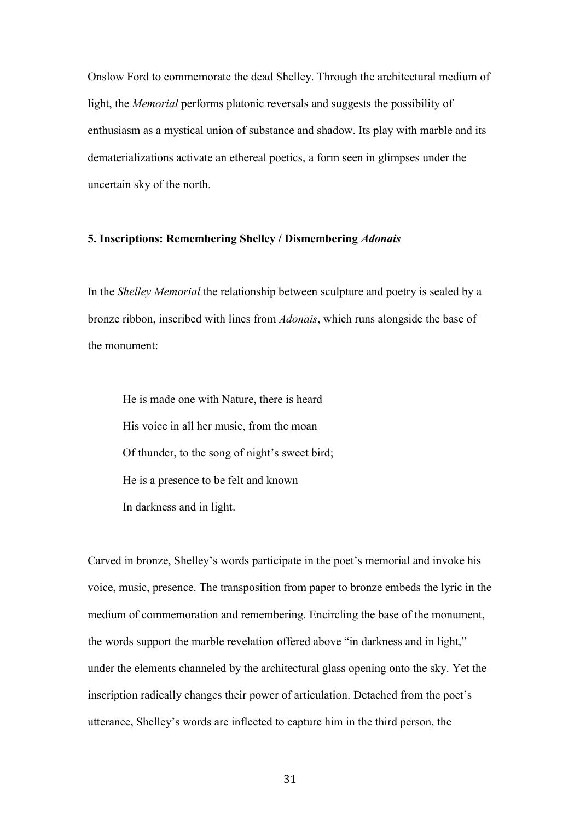Onslow Ford to commemorate the dead Shelley. Through the architectural medium of light, the *Memorial* performs platonic reversals and suggests the possibility of enthusiasm as a mystical union of substance and shadow. Its play with marble and its dematerializations activate an ethereal poetics, a form seen in glimpses under the uncertain sky of the north.

#### **5. Inscriptions: Remembering Shelley / Dismembering** *Adonais*

In the *Shelley Memorial* the relationship between sculpture and poetry is sealed by a bronze ribbon, inscribed with lines from *Adonais*, which runs alongside the base of the monument:

He is made one with Nature, there is heard His voice in all her music, from the moan Of thunder, to the song of night's sweet bird; He is a presence to be felt and known In darkness and in light.

Carved in bronze, Shelley's words participate in the poet's memorial and invoke his voice, music, presence. The transposition from paper to bronze embeds the lyric in the medium of commemoration and remembering. Encircling the base of the monument, the words support the marble revelation offered above "in darkness and in light," under the elements channeled by the architectural glass opening onto the sky. Yet the inscription radically changes their power of articulation. Detached from the poet's utterance, Shelley's words are inflected to capture him in the third person, the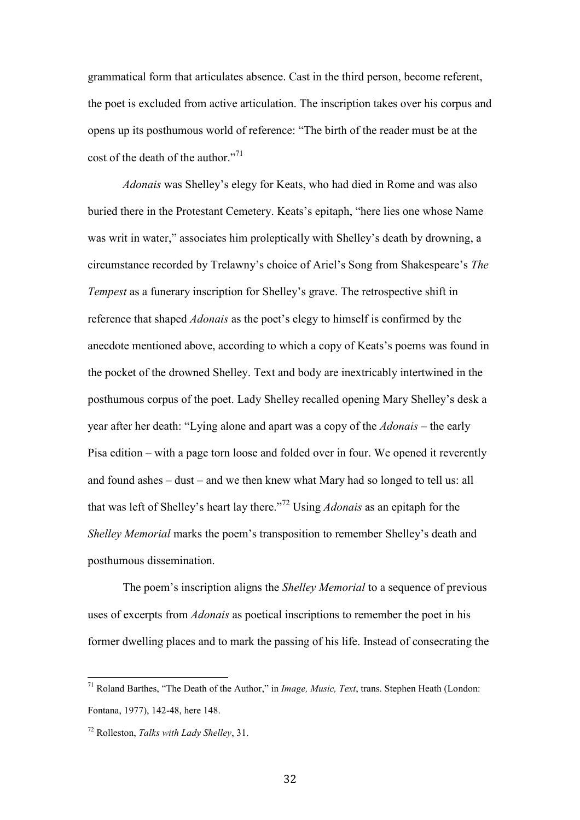grammatical form that articulates absence. Cast in the third person, become referent, the poet is excluded from active articulation. The inscription takes over his corpus and opens up its posthumous world of reference: "The birth of the reader must be at the cost of the death of the author."<sup>71</sup>

*Adonais* was Shelley's elegy for Keats, who had died in Rome and was also buried there in the Protestant Cemetery. Keats's epitaph, "here lies one whose Name was writ in water," associates him proleptically with Shelley's death by drowning, a circumstance recorded by Trelawny's choice of Ariel's Song from Shakespeare's *The Tempest* as a funerary inscription for Shelley's grave. The retrospective shift in reference that shaped *Adonais* as the poet's elegy to himself is confirmed by the anecdote mentioned above, according to which a copy of Keats's poems was found in the pocket of the drowned Shelley. Text and body are inextricably intertwined in the posthumous corpus of the poet. Lady Shelley recalled opening Mary Shelley's desk a year after her death: "Lying alone and apart was a copy of the *Adonais* – the early Pisa edition – with a page torn loose and folded over in four. We opened it reverently and found ashes – dust – and we then knew what Mary had so longed to tell us: all that was left of Shelley's heart lay there." <sup>72</sup> Using *Adonais* as an epitaph for the *Shelley Memorial* marks the poem's transposition to remember Shelley's death and posthumous dissemination.

The poem's inscription aligns the *Shelley Memorial* to a sequence of previous uses of excerpts from *Adonais* as poetical inscriptions to remember the poet in his former dwelling places and to mark the passing of his life. Instead of consecrating the

<sup>71</sup> Roland Barthes, "The Death of the Author," in *Image, Music, Text*, trans. Stephen Heath (London: Fontana, 1977), 142-48, here 148.

<sup>72</sup> Rolleston, *Talks with Lady Shelley*, 31.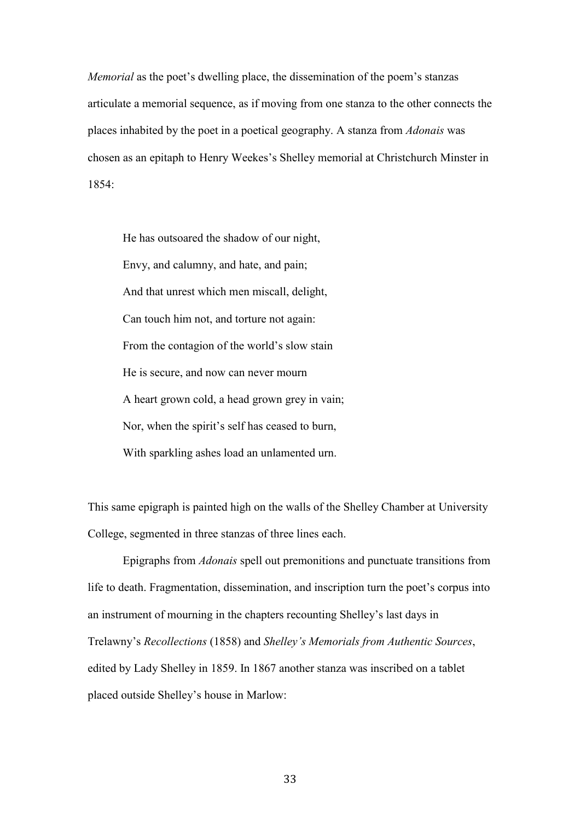*Memorial* as the poet's dwelling place, the dissemination of the poem's stanzas articulate a memorial sequence, as if moving from one stanza to the other connects the places inhabited by the poet in a poetical geography. A stanza from *Adonais* was chosen as an epitaph to Henry Weekes's Shelley memorial at Christchurch Minster in 1854:

He has outsoared the shadow of our night, Envy, and calumny, and hate, and pain; And that unrest which men miscall, delight, Can touch him not, and torture not again: From the contagion of the world's slow stain He is secure, and now can never mourn A heart grown cold, a head grown grey in vain; Nor, when the spirit's self has ceased to burn, With sparkling ashes load an unlamented urn.

This same epigraph is painted high on the walls of the Shelley Chamber at University College, segmented in three stanzas of three lines each.

Epigraphs from *Adonais* spell out premonitions and punctuate transitions from life to death. Fragmentation, dissemination, and inscription turn the poet's corpus into an instrument of mourning in the chapters recounting Shelley's last days in Trelawny's *Recollections* (1858) and *Shelley's Memorials from Authentic Sources*, edited by Lady Shelley in 1859. In 1867 another stanza was inscribed on a tablet placed outside Shelley's house in Marlow: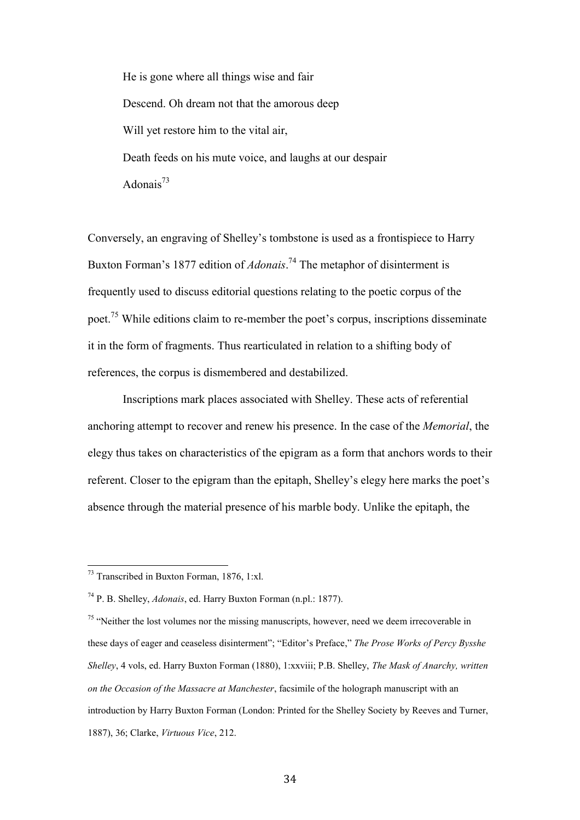He is gone where all things wise and fair Descend. Oh dream not that the amorous deep Will yet restore him to the vital air, Death feeds on his mute voice, and laughs at our despair Adonais<sup>73</sup>

Conversely, an engraving of Shelley's tombstone is used as a frontispiece to Harry Buxton Forman's 1877 edition of *Adonais*. <sup>74</sup> The metaphor of disinterment is frequently used to discuss editorial questions relating to the poetic corpus of the poet.<sup>75</sup> While editions claim to re-member the poet's corpus, inscriptions disseminate it in the form of fragments. Thus rearticulated in relation to a shifting body of references, the corpus is dismembered and destabilized.

Inscriptions mark places associated with Shelley. These acts of referential anchoring attempt to recover and renew his presence. In the case of the *Memorial*, the elegy thus takes on characteristics of the epigram as a form that anchors words to their referent. Closer to the epigram than the epitaph, Shelley's elegy here marks the poet's absence through the material presence of his marble body. Unlike the epitaph, the

<sup>73</sup> Transcribed in Buxton Forman, 1876, 1:xl.

<sup>74</sup> P. B. Shelley, *Adonais*, ed. Harry Buxton Forman (n.pl.: 1877).

 $<sup>75</sup>$  "Neither the lost volumes nor the missing manuscripts, however, need we deem irrecoverable in</sup> these days of eager and ceaseless disinterment"; "Editor's Preface," *The Prose Works of Percy Bysshe Shelley*, 4 vols, ed. Harry Buxton Forman (1880), 1:xxviii; P.B. Shelley, *The Mask of Anarchy, written on the Occasion of the Massacre at Manchester*, facsimile of the holograph manuscript with an introduction by Harry Buxton Forman (London: Printed for the Shelley Society by Reeves and Turner, 1887), 36; Clarke, *Virtuous Vice*, 212.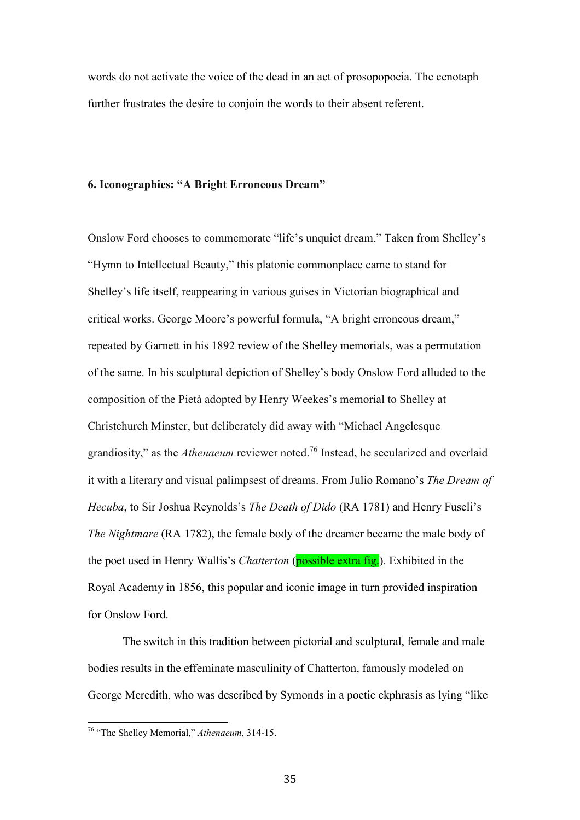words do not activate the voice of the dead in an act of prosopopoeia. The cenotaph further frustrates the desire to conjoin the words to their absent referent.

# **6. Iconographies: "A Bright Erroneous Dream"**

Onslow Ford chooses to commemorate "life's unquiet dream." Taken from Shelley's "Hymn to Intellectual Beauty," this platonic commonplace came to stand for Shelley's life itself, reappearing in various guises in Victorian biographical and critical works. George Moore's powerful formula, "A bright erroneous dream," repeated by Garnett in his 1892 review of the Shelley memorials, was a permutation of the same. In his sculptural depiction of Shelley's body Onslow Ford alluded to the composition of the Pietà adopted by Henry Weekes's memorial to Shelley at Christchurch Minster, but deliberately did away with "Michael Angelesque grandiosity," as the *Athenaeum* reviewer noted. <sup>76</sup> Instead, he secularized and overlaid it with a literary and visual palimpsest of dreams. From Julio Romano's *The Dream of Hecuba*, to Sir Joshua Reynolds's *The Death of Dido* (RA 1781) and Henry Fuseli's *The Nightmare* (RA 1782), the female body of the dreamer became the male body of the poet used in Henry Wallis's *Chatterton* (possible extra fig.). Exhibited in the Royal Academy in 1856, this popular and iconic image in turn provided inspiration for Onslow Ford.

The switch in this tradition between pictorial and sculptural, female and male bodies results in the effeminate masculinity of Chatterton, famously modeled on George Meredith, who was described by Symonds in a poetic ekphrasis as lying "like

<sup>76</sup> "The Shelley Memorial," *Athenaeum*, 314-15.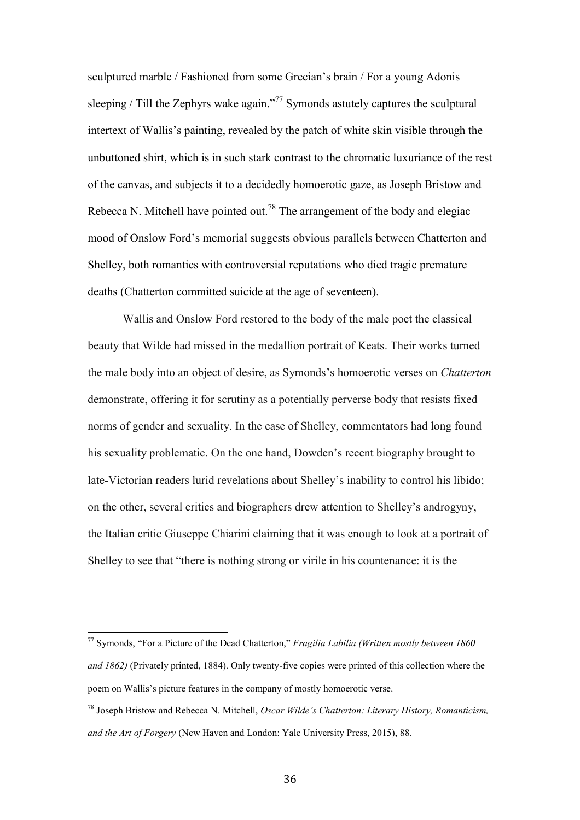sculptured marble / Fashioned from some Grecian's brain / For a young Adonis sleeping / Till the Zephyrs wake again."<sup>77</sup> Symonds astutely captures the sculptural intertext of Wallis's painting, revealed by the patch of white skin visible through the unbuttoned shirt, which is in such stark contrast to the chromatic luxuriance of the rest of the canvas, and subjects it to a decidedly homoerotic gaze, as Joseph Bristow and Rebecca N. Mitchell have pointed out.<sup>78</sup> The arrangement of the body and elegiac mood of Onslow Ford's memorial suggests obvious parallels between Chatterton and Shelley, both romantics with controversial reputations who died tragic premature deaths (Chatterton committed suicide at the age of seventeen).

Wallis and Onslow Ford restored to the body of the male poet the classical beauty that Wilde had missed in the medallion portrait of Keats. Their works turned the male body into an object of desire, as Symonds's homoerotic verses on *Chatterton* demonstrate, offering it for scrutiny as a potentially perverse body that resists fixed norms of gender and sexuality. In the case of Shelley, commentators had long found his sexuality problematic. On the one hand, Dowden's recent biography brought to late-Victorian readers lurid revelations about Shelley's inability to control his libido; on the other, several critics and biographers drew attention to Shelley's androgyny, the Italian critic Giuseppe Chiarini claiming that it was enough to look at a portrait of Shelley to see that "there is nothing strong or virile in his countenance: it is the

<sup>77</sup> Symonds, "For a Picture of the Dead Chatterton," *Fragilia Labilia (Written mostly between 1860 and 1862)* (Privately printed, 1884). Only twenty-five copies were printed of this collection where the poem on Wallis's picture features in the company of mostly homoerotic verse.

<sup>78</sup> Joseph Bristow and Rebecca N. Mitchell, *Oscar Wilde's Chatterton: Literary History, Romanticism, and the Art of Forgery* (New Haven and London: Yale University Press, 2015), 88.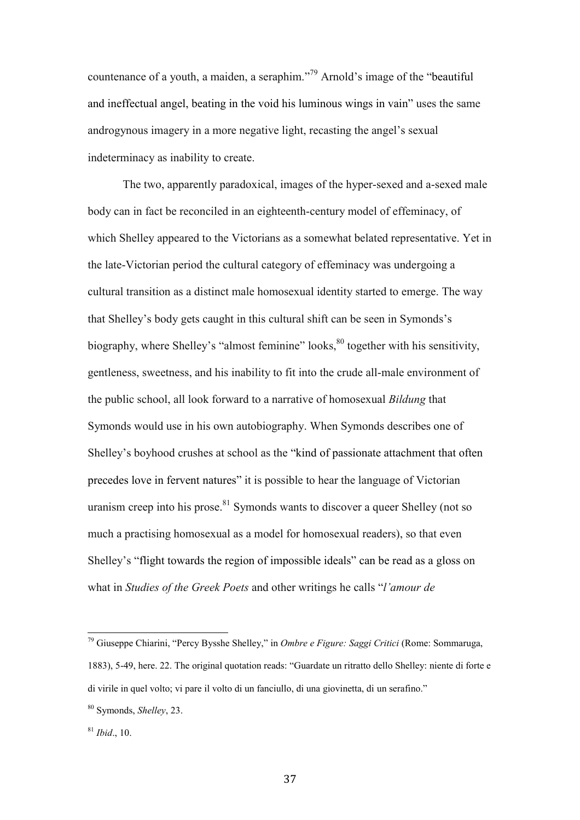countenance of a youth, a maiden, a seraphim."<sup>79</sup> Arnold's image of the "beautiful and ineffectual angel, beating in the void his luminous wings in vain" uses the same androgynous imagery in a more negative light, recasting the angel's sexual indeterminacy as inability to create.

The two, apparently paradoxical, images of the hyper-sexed and a-sexed male body can in fact be reconciled in an eighteenth-century model of effeminacy, of which Shelley appeared to the Victorians as a somewhat belated representative. Yet in the late-Victorian period the cultural category of effeminacy was undergoing a cultural transition as a distinct male homosexual identity started to emerge. The way that Shelley's body gets caught in this cultural shift can be seen in Symonds's biography, where Shelley's "almost feminine" looks, <sup>80</sup> together with his sensitivity, gentleness, sweetness, and his inability to fit into the crude all-male environment of the public school, all look forward to a narrative of homosexual *Bildung* that Symonds would use in his own autobiography. When Symonds describes one of Shelley's boyhood crushes at school as the "kind of passionate attachment that often precedes love in fervent natures" it is possible to hear the language of Victorian uranism creep into his prose.<sup>81</sup> Symonds wants to discover a queer Shelley (not so much a practising homosexual as a model for homosexual readers), so that even Shelley's "flight towards the region of impossible ideals" can be read as a gloss on what in *Studies of the Greek Poets* and other writings he calls "*l'amour de* 

<sup>79</sup> Giuseppe Chiarini, "Percy Bysshe Shelley," in *Ombre e Figure: Saggi Critici* (Rome: Sommaruga, 1883), 5-49, here. 22. The original quotation reads: "Guardate un ritratto dello Shelley: niente di forte e di virile in quel volto; vi pare il volto di un fanciullo, di una giovinetta, di un serafino." <sup>80</sup> Symonds, *Shelley*, 23.

 $81$  *Ibid.*, 10.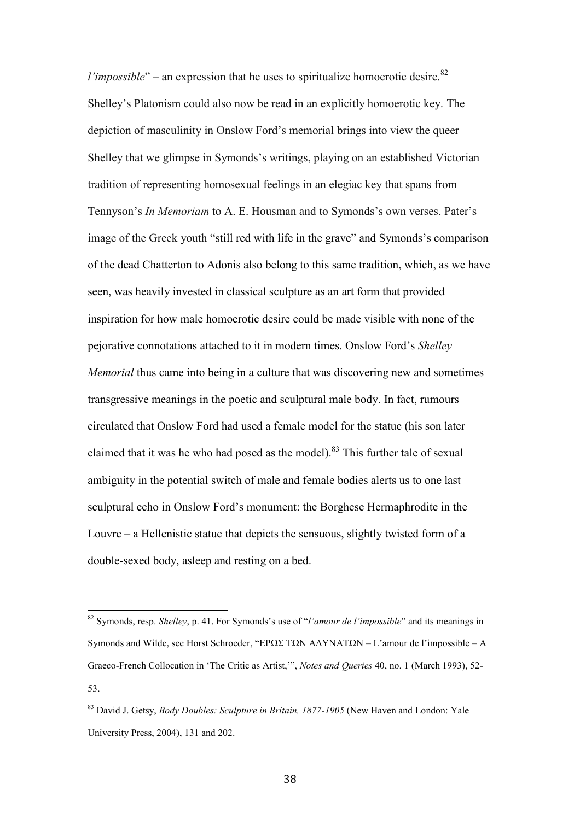*l'impossible*" – an expression that he uses to spiritualize homoerotic desire.<sup>82</sup> Shelley's Platonism could also now be read in an explicitly homoerotic key. The depiction of masculinity in Onslow Ford's memorial brings into view the queer Shelley that we glimpse in Symonds's writings, playing on an established Victorian tradition of representing homosexual feelings in an elegiac key that spans from Tennyson's *In Memoriam* to A. E. Housman and to Symonds's own verses. Pater's image of the Greek youth "still red with life in the grave" and Symonds's comparison of the dead Chatterton to Adonis also belong to this same tradition, which, as we have seen, was heavily invested in classical sculpture as an art form that provided inspiration for how male homoerotic desire could be made visible with none of the pejorative connotations attached to it in modern times. Onslow Ford's *Shelley Memorial* thus came into being in a culture that was discovering new and sometimes transgressive meanings in the poetic and sculptural male body. In fact, rumours circulated that Onslow Ford had used a female model for the statue (his son later claimed that it was he who had posed as the model).<sup>83</sup> This further tale of sexual ambiguity in the potential switch of male and female bodies alerts us to one last sculptural echo in Onslow Ford's monument: the Borghese Hermaphrodite in the Louvre – a Hellenistic statue that depicts the sensuous, slightly twisted form of a double-sexed body, asleep and resting on a bed.

<sup>82</sup> Symonds, resp. *Shelley*, p. 41. For Symonds's use of "*l'amour de l'impossible*" and its meanings in Symonds and Wilde, see Horst Schroeder, "ΕΡΩΣ ΤΩΝ ΑΔΥΝΑΤΩΝ – L'amour de l'impossible – A Graeco-French Collocation in 'The Critic as Artist,'", *Notes and Queries* 40, no. 1 (March 1993), 52- 53.

<sup>83</sup> David J. Getsy, *Body Doubles: Sculpture in Britain, 1877-1905* (New Haven and London: Yale University Press, 2004), 131 and 202.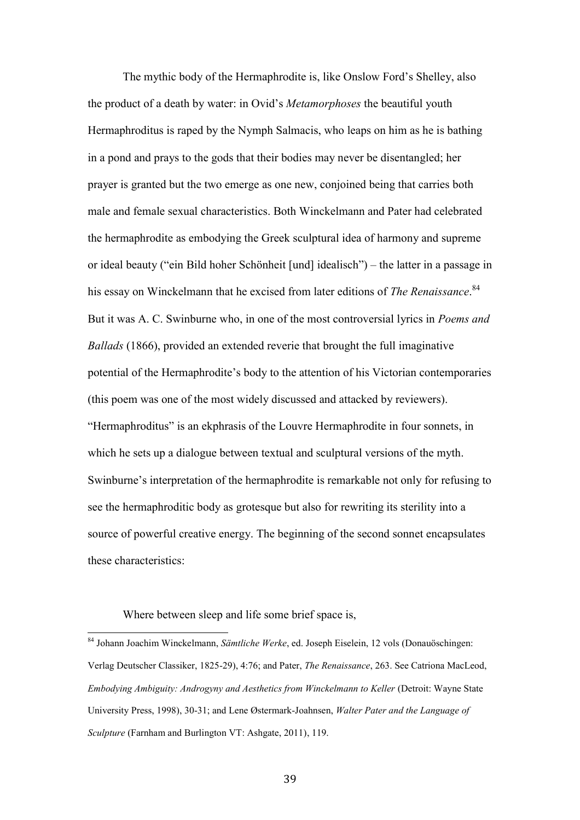The mythic body of the Hermaphrodite is, like Onslow Ford's Shelley, also the product of a death by water: in Ovid's *Metamorphoses* the beautiful youth Hermaphroditus is raped by the Nymph Salmacis, who leaps on him as he is bathing in a pond and prays to the gods that their bodies may never be disentangled; her prayer is granted but the two emerge as one new, conjoined being that carries both male and female sexual characteristics. Both Winckelmann and Pater had celebrated the hermaphrodite as embodying the Greek sculptural idea of harmony and supreme or ideal beauty ("ein Bild hoher Schönheit [und] idealisch") – the latter in a passage in his essay on Winckelmann that he excised from later editions of *The Renaissance*. 84 But it was A. C. Swinburne who, in one of the most controversial lyrics in *Poems and Ballads* (1866), provided an extended reverie that brought the full imaginative potential of the Hermaphrodite's body to the attention of his Victorian contemporaries (this poem was one of the most widely discussed and attacked by reviewers). "Hermaphroditus" is an ekphrasis of the Louvre Hermaphrodite in four sonnets, in which he sets up a dialogue between textual and sculptural versions of the myth. Swinburne's interpretation of the hermaphrodite is remarkable not only for refusing to see the hermaphroditic body as grotesque but also for rewriting its sterility into a source of powerful creative energy. The beginning of the second sonnet encapsulates these characteristics:

### Where between sleep and life some brief space is,

<sup>84</sup> Johann Joachim Winckelmann, *Sämtliche Werke*, ed. Joseph Eiselein, 12 vols (Donauöschingen: Verlag Deutscher Classiker, 1825-29), 4:76; and Pater, *The Renaissance*, 263. See Catriona MacLeod, *Embodying Ambiguity: Androgyny and Aesthetics from Winckelmann to Keller* (Detroit: Wayne State University Press, 1998), 30-31; and Lene Østermark-Joahnsen, *Walter Pater and the Language of Sculpture* (Farnham and Burlington VT: Ashgate, 2011), 119.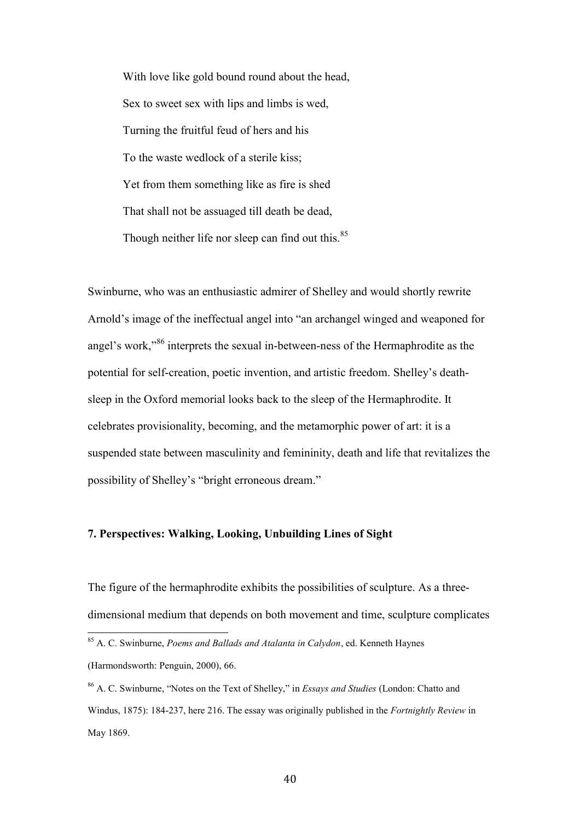With love like gold bound round about the head, Sex to sweet sex with lips and limbs is wed, Turning the fruitful feud of hers and his To the waste wedlock of a sterile kiss; Yet from them something like as fire is shed That shall not be assuaged till death be dead, Though neither life nor sleep can find out this.<sup>85</sup>

Swinburne, who was an enthusiastic admirer of Shelley and would shortly rewrite Arnold's image of the ineffectual angel into "an archangel winged and weaponed for angel's work,"<sup>86</sup> interprets the sexual in-between-ness of the Hermaphrodite as the potential for self-creation, poetic invention, and artistic freedom. Shelley's deathsleep in the Oxford memorial looks back to the sleep of the Hermaphrodite. It celebrates provisionality, becoming, and the metamorphic power of art: it is a suspended state between masculinity and femininity, death and life that revitalizes the possibility of Shelley's "bright erroneous dream."

## **7. Perspectives: Walking, Looking, Unbuilding Lines of Sight**

 $\overline{a}$ 

The figure of the hermaphrodite exhibits the possibilities of sculpture. As a threedimensional medium that depends on both movement and time, sculpture complicates

<sup>85</sup> A. C. Swinburne, *Poems and Ballads and Atalanta in Calydon*, ed. Kenneth Haynes (Harmondsworth: Penguin, 2000), 66.

<sup>86</sup> A. C. Swinburne, "Notes on the Text of Shelley," in *Essays and Studies* (London: Chatto and Windus, 1875): 184-237, here 216. The essay was originally published in the *Fortnightly Review* in May 1869.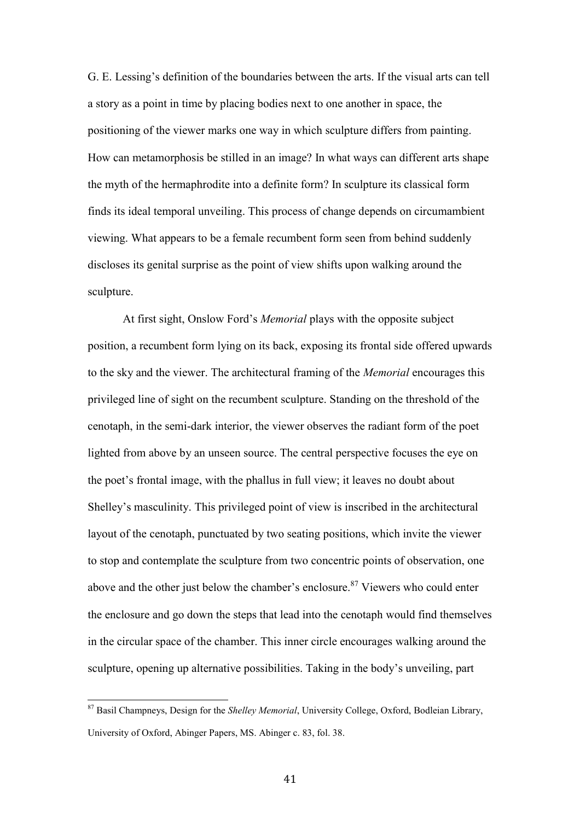G. E. Lessing's definition of the boundaries between the arts. If the visual arts can tell a story as a point in time by placing bodies next to one another in space, the positioning of the viewer marks one way in which sculpture differs from painting. How can metamorphosis be stilled in an image? In what ways can different arts shape the myth of the hermaphrodite into a definite form? In sculpture its classical form finds its ideal temporal unveiling. This process of change depends on circumambient viewing. What appears to be a female recumbent form seen from behind suddenly discloses its genital surprise as the point of view shifts upon walking around the sculpture.

At first sight, Onslow Ford's *Memorial* plays with the opposite subject position, a recumbent form lying on its back, exposing its frontal side offered upwards to the sky and the viewer. The architectural framing of the *Memorial* encourages this privileged line of sight on the recumbent sculpture. Standing on the threshold of the cenotaph, in the semi-dark interior, the viewer observes the radiant form of the poet lighted from above by an unseen source. The central perspective focuses the eye on the poet's frontal image, with the phallus in full view; it leaves no doubt about Shelley's masculinity. This privileged point of view is inscribed in the architectural layout of the cenotaph, punctuated by two seating positions, which invite the viewer to stop and contemplate the sculpture from two concentric points of observation, one above and the other just below the chamber's enclosure.<sup>87</sup> Viewers who could enter the enclosure and go down the steps that lead into the cenotaph would find themselves in the circular space of the chamber. This inner circle encourages walking around the sculpture, opening up alternative possibilities. Taking in the body's unveiling, part

<sup>87</sup> Basil Champneys, Design for the *Shelley Memorial*, University College, Oxford, Bodleian Library, University of Oxford, Abinger Papers, MS. Abinger c. 83, fol. 38.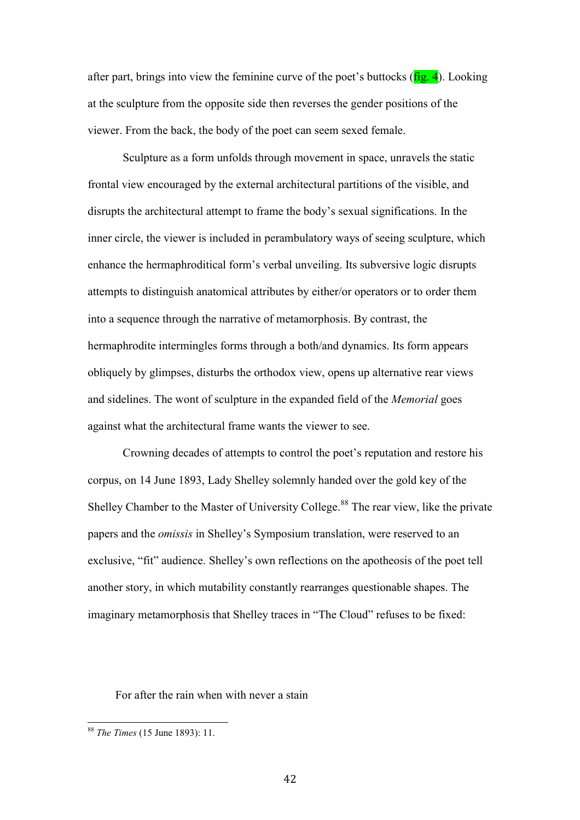after part, brings into view the feminine curve of the poet's buttocks  $(f_ig. 4)$ . Looking at the sculpture from the opposite side then reverses the gender positions of the viewer. From the back, the body of the poet can seem sexed female.

Sculpture as a form unfolds through movement in space, unravels the static frontal view encouraged by the external architectural partitions of the visible, and disrupts the architectural attempt to frame the body's sexual significations. In the inner circle, the viewer is included in perambulatory ways of seeing sculpture, which enhance the hermaphroditical form's verbal unveiling. Its subversive logic disrupts attempts to distinguish anatomical attributes by either/or operators or to order them into a sequence through the narrative of metamorphosis. By contrast, the hermaphrodite intermingles forms through a both/and dynamics. Its form appears obliquely by glimpses, disturbs the orthodox view, opens up alternative rear views and sidelines. The wont of sculpture in the expanded field of the *Memorial* goes against what the architectural frame wants the viewer to see.

Crowning decades of attempts to control the poet's reputation and restore his corpus, on 14 June 1893, Lady Shelley solemnly handed over the gold key of the Shelley Chamber to the Master of University College.<sup>88</sup> The rear view, like the private papers and the *omissis* in Shelley's Symposium translation, were reserved to an exclusive, "fit" audience. Shelley's own reflections on the apotheosis of the poet tell another story, in which mutability constantly rearranges questionable shapes. The imaginary metamorphosis that Shelley traces in "The Cloud" refuses to be fixed:

For after the rain when with never a stain

<sup>88</sup> *The Times* (15 June 1893): 11.